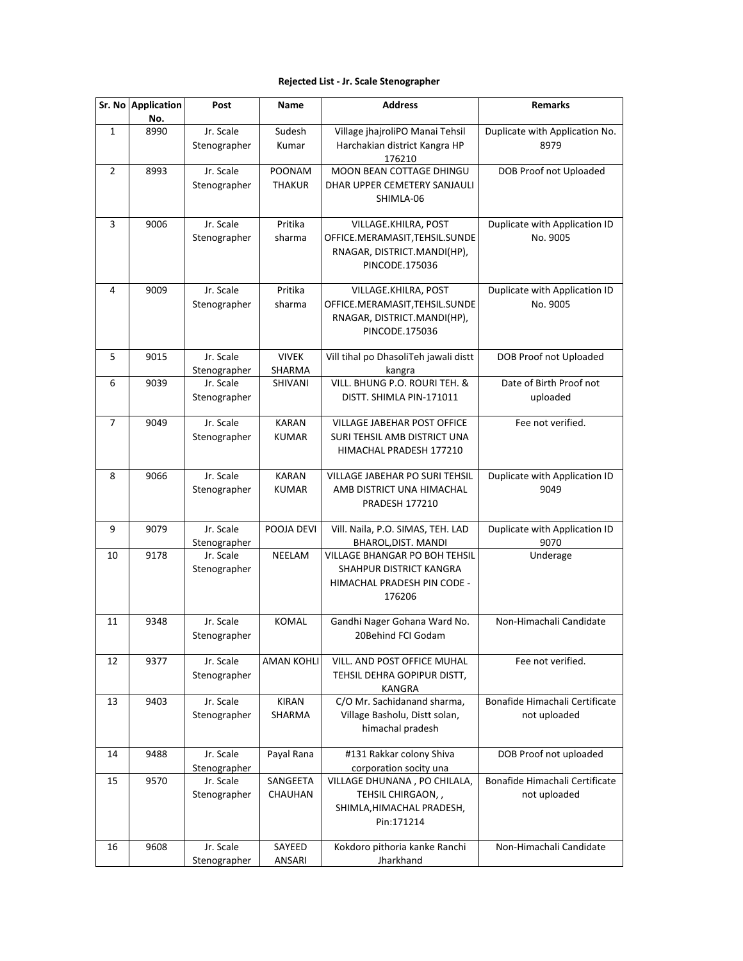## **Rejected List - Jr. Scale Stenographer**

|              | Sr. No Application<br>No. | Post                      | Name                         | <b>Address</b>                                                                                         | <b>Remarks</b>                                 |
|--------------|---------------------------|---------------------------|------------------------------|--------------------------------------------------------------------------------------------------------|------------------------------------------------|
| $\mathbf{1}$ | 8990                      | Jr. Scale<br>Stenographer | Sudesh<br>Kumar              | Village jhajroliPO Manai Tehsil<br>Harchakian district Kangra HP<br>176210                             | Duplicate with Application No.<br>8979         |
| 2            | 8993                      | Jr. Scale<br>Stenographer | POONAM<br><b>THAKUR</b>      | MOON BEAN COTTAGE DHINGU<br>DHAR UPPER CEMETERY SANJAULI<br>SHIMLA-06                                  | DOB Proof not Uploaded                         |
| 3            | 9006                      | Jr. Scale<br>Stenographer | Pritika<br>sharma            | VILLAGE.KHILRA, POST<br>OFFICE.MERAMASIT,TEHSIL.SUNDE<br>RNAGAR, DISTRICT.MANDI(HP),<br>PINCODE.175036 | Duplicate with Application ID<br>No. 9005      |
| 4            | 9009                      | Jr. Scale<br>Stenographer | Pritika<br>sharma            | VILLAGE.KHILRA, POST<br>OFFICE.MERAMASIT,TEHSIL.SUNDE<br>RNAGAR, DISTRICT.MANDI(HP),<br>PINCODE.175036 | Duplicate with Application ID<br>No. 9005      |
| 5            | 9015                      | Jr. Scale<br>Stenographer | <b>VIVEK</b><br>SHARMA       | Vill tihal po DhasoliTeh jawali distt<br>kangra                                                        | DOB Proof not Uploaded                         |
| 6            | 9039                      | Jr. Scale<br>Stenographer | SHIVANI                      | VILL. BHUNG P.O. ROURI TEH. &<br>DISTT. SHIMLA PIN-171011                                              | Date of Birth Proof not<br>uploaded            |
| 7            | 9049                      | Jr. Scale<br>Stenographer | <b>KARAN</b><br><b>KUMAR</b> | <b>VILLAGE JABEHAR POST OFFICE</b><br>SURI TEHSIL AMB DISTRICT UNA<br>HIMACHAL PRADESH 177210          | Fee not verified.                              |
| 8            | 9066                      | Jr. Scale<br>Stenographer | <b>KARAN</b><br><b>KUMAR</b> | VILLAGE JABEHAR PO SURI TEHSIL<br>AMB DISTRICT UNA HIMACHAL<br><b>PRADESH 177210</b>                   | Duplicate with Application ID<br>9049          |
| 9            | 9079                      | Jr. Scale<br>Stenographer | POOJA DEVI                   | Vill. Naila, P.O. SIMAS, TEH. LAD<br>BHAROL, DIST. MANDI                                               | Duplicate with Application ID<br>9070          |
| 10           | 9178                      | Jr. Scale<br>Stenographer | NEELAM                       | VILLAGE BHANGAR PO BOH TEHSIL<br>SHAHPUR DISTRICT KANGRA<br>HIMACHAL PRADESH PIN CODE -<br>176206      | Underage                                       |
| 11           | 9348                      | Jr. Scale<br>Stenographer | <b>KOMAL</b>                 | Gandhi Nager Gohana Ward No.<br>20Behind FCI Godam                                                     | Non-Himachali Candidate                        |
| 12           | 9377                      | Jr. Scale<br>Stenographer | <b>AMAN KOHLI</b>            | VILL. AND POST OFFICE MUHAL<br>TEHSIL DEHRA GOPIPUR DISTT,<br>KANGRA                                   | Fee not verified.                              |
| 13           | 9403                      | Jr. Scale<br>Stenographer | <b>KIRAN</b><br>SHARMA       | C/O Mr. Sachidanand sharma,<br>Village Basholu, Distt solan,<br>himachal pradesh                       | Bonafide Himachali Certificate<br>not uploaded |
| 14           | 9488                      | Jr. Scale<br>Stenographer | Payal Rana                   | #131 Rakkar colony Shiva<br>corporation socity una                                                     | DOB Proof not uploaded                         |
| 15           | 9570                      | Jr. Scale<br>Stenographer | SANGEETA<br>CHAUHAN          | VILLAGE DHUNANA, PO CHILALA,<br>TEHSIL CHIRGAON,,<br>SHIMLA, HIMACHAL PRADESH,<br>Pin:171214           | Bonafide Himachali Certificate<br>not uploaded |
| 16           | 9608                      | Jr. Scale<br>Stenographer | SAYEED<br>ANSARI             | Kokdoro pithoria kanke Ranchi<br>Jharkhand                                                             | Non-Himachali Candidate                        |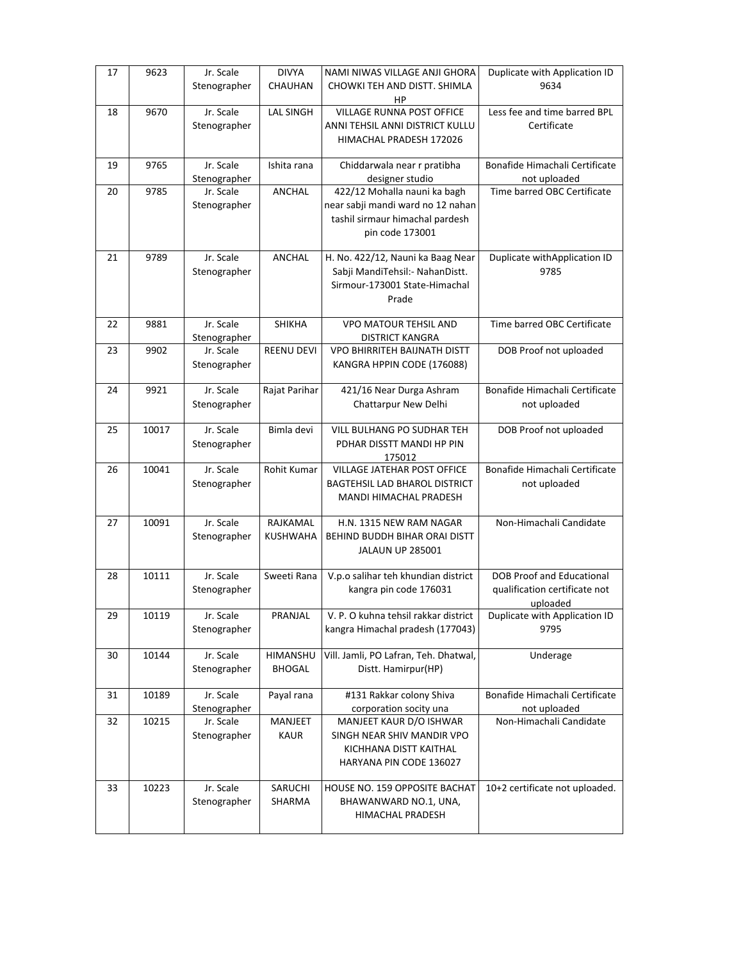| 17 | 9623  | Jr. Scale                 | <b>DIVYA</b>              | NAMI NIWAS VILLAGE ANJI GHORA                                | Duplicate with Application ID               |
|----|-------|---------------------------|---------------------------|--------------------------------------------------------------|---------------------------------------------|
|    |       | Stenographer              | CHAUHAN                   | CHOWKI TEH AND DISTT. SHIMLA<br>HР                           | 9634                                        |
| 18 | 9670  | Jr. Scale                 | <b>LAL SINGH</b>          | <b>VILLAGE RUNNA POST OFFICE</b>                             | Less fee and time barred BPL                |
|    |       | Stenographer              |                           | ANNI TEHSIL ANNI DISTRICT KULLU<br>HIMACHAL PRADESH 172026   | Certificate                                 |
|    |       |                           |                           |                                                              |                                             |
| 19 | 9765  | Jr. Scale                 | Ishita rana               | Chiddarwala near r pratibha                                  | Bonafide Himachali Certificate              |
| 20 | 9785  | Stenographer<br>Jr. Scale | ANCHAL                    | designer studio<br>422/12 Mohalla nauni ka bagh              | not uploaded<br>Time barred OBC Certificate |
|    |       | Stenographer              |                           | near sabji mandi ward no 12 nahan                            |                                             |
|    |       |                           |                           | tashil sirmaur himachal pardesh                              |                                             |
|    |       |                           |                           | pin code 173001                                              |                                             |
| 21 | 9789  | Jr. Scale                 | ANCHAL                    | H. No. 422/12, Nauni ka Baag Near                            | Duplicate withApplication ID                |
|    |       | Stenographer              |                           | Sabji MandiTehsil:- NahanDistt.                              | 9785                                        |
|    |       |                           |                           | Sirmour-173001 State-Himachal                                |                                             |
|    |       |                           |                           | Prade                                                        |                                             |
| 22 | 9881  | Jr. Scale                 | <b>SHIKHA</b>             | <b>VPO MATOUR TEHSIL AND</b>                                 | Time barred OBC Certificate                 |
| 23 | 9902  | Stenographer<br>Jr. Scale | <b>REENU DEVI</b>         | DISTRICT KANGRA<br>VPO BHIRRITEH BAIJNATH DISTT              | DOB Proof not uploaded                      |
|    |       | Stenographer              |                           | KANGRA HPPIN CODE (176088)                                   |                                             |
|    |       |                           |                           |                                                              |                                             |
| 24 | 9921  | Jr. Scale                 | Rajat Parihar             | 421/16 Near Durga Ashram                                     | Bonafide Himachali Certificate              |
|    |       | Stenographer              |                           | Chattarpur New Delhi                                         | not uploaded                                |
| 25 | 10017 | Jr. Scale                 | Bimla devi                | VILL BULHANG PO SUDHAR TEH                                   | DOB Proof not uploaded                      |
|    |       | Stenographer              |                           | PDHAR DISSTT MANDI HP PIN                                    |                                             |
| 26 | 10041 | Jr. Scale                 | <b>Rohit Kumar</b>        | 175012<br><b>VILLAGE JATEHAR POST OFFICE</b>                 | Bonafide Himachali Certificate              |
|    |       | Stenographer              |                           | <b>BAGTEHSIL LAD BHAROL DISTRICT</b>                         | not uploaded                                |
|    |       |                           |                           | MANDI HIMACHAL PRADESH                                       |                                             |
| 27 | 10091 | Jr. Scale                 | RAJKAMAL                  | H.N. 1315 NEW RAM NAGAR                                      | Non-Himachali Candidate                     |
|    |       | Stenographer              | KUSHWAHA                  | BEHIND BUDDH BIHAR ORAI DISTT                                |                                             |
|    |       |                           |                           | <b>JALAUN UP 285001</b>                                      |                                             |
| 28 | 10111 | Jr. Scale                 | Sweeti Rana               | V.p.o salihar teh khundian district                          | <b>DOB Proof and Educational</b>            |
|    |       | Stenographer              |                           | kangra pin code 176031                                       | qualification certificate not               |
| 29 | 10119 | Jr. Scale                 | PRANJAL                   | V. P. O kuhna tehsil rakkar district                         | uploaded<br>Duplicate with Application ID   |
|    |       | Stenographer              |                           | kangra Himachal pradesh (177043)                             | 9795                                        |
|    |       |                           |                           |                                                              |                                             |
| 30 | 10144 | Jr. Scale<br>Stenographer | HIMANSHU<br><b>BHOGAL</b> | Vill. Jamli, PO Lafran, Teh. Dhatwal,<br>Distt. Hamirpur(HP) | Underage                                    |
|    |       |                           |                           |                                                              |                                             |
| 31 | 10189 | Jr. Scale                 | Payal rana                | #131 Rakkar colony Shiva                                     | Bonafide Himachali Certificate              |
| 32 | 10215 | Stenographer<br>Jr. Scale | MANJEET                   | corporation socity una<br>MANJEET KAUR D/O ISHWAR            | not uploaded<br>Non-Himachali Candidate     |
|    |       | Stenographer              | <b>KAUR</b>               | SINGH NEAR SHIV MANDIR VPO                                   |                                             |
|    |       |                           |                           | KICHHANA DISTT KAITHAL                                       |                                             |
|    |       |                           |                           | HARYANA PIN CODE 136027                                      |                                             |
| 33 | 10223 | Jr. Scale                 | SARUCHI                   | <b>HOUSE NO. 159 OPPOSITE BACHAT</b>                         | 10+2 certificate not uploaded.              |
|    |       | Stenographer              | SHARMA                    | BHAWANWARD NO.1, UNA,                                        |                                             |
|    |       |                           |                           | HIMACHAL PRADESH                                             |                                             |
|    |       |                           |                           |                                                              |                                             |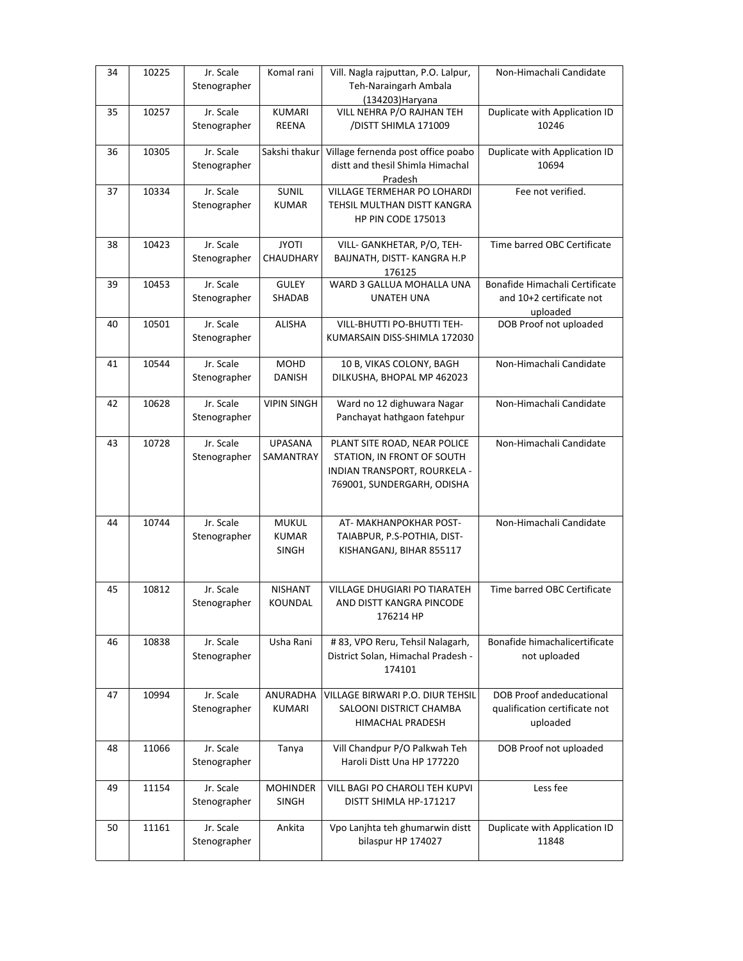| 34 | 10225 | Jr. Scale                 | Komal rani                      | Vill. Nagla rajputtan, P.O. Lalpur,                       | Non-Himachali Candidate         |
|----|-------|---------------------------|---------------------------------|-----------------------------------------------------------|---------------------------------|
|    |       | Stenographer              |                                 | Teh-Naraingarh Ambala<br>(134203) Haryana                 |                                 |
| 35 | 10257 | Jr. Scale                 | <b>KUMARI</b>                   | VILL NEHRA P/O RAJHAN TEH                                 | Duplicate with Application ID   |
|    |       | Stenographer              | <b>REENA</b>                    | /DISTT SHIMLA 171009                                      | 10246                           |
| 36 | 10305 | Jr. Scale                 | Sakshi thakur                   | Village fernenda post office poabo                        | Duplicate with Application ID   |
|    |       | Stenographer              |                                 | distt and thesil Shimla Himachal<br>Pradesh               | 10694                           |
| 37 | 10334 | Jr. Scale                 | SUNIL                           | VILLAGE TERMEHAR PO LOHARDI                               | Fee not verified.               |
|    |       | Stenographer              | <b>KUMAR</b>                    | TEHSIL MULTHAN DISTT KANGRA                               |                                 |
|    |       |                           |                                 | <b>HP PIN CODE 175013</b>                                 |                                 |
| 38 | 10423 | Jr. Scale                 | <b>JYOTI</b>                    | VILL- GANKHETAR, P/O, TEH-                                | Time barred OBC Certificate     |
|    |       | Stenographer              | CHAUDHARY                       | BAIJNATH, DISTT-KANGRA H.P                                |                                 |
| 39 | 10453 | Jr. Scale                 | <b>GULEY</b>                    | 176125<br>WARD 3 GALLUA MOHALLA UNA                       | Bonafide Himachali Certificate  |
|    |       | Stenographer              | SHADAB                          | UNATEH UNA                                                | and 10+2 certificate not        |
|    |       |                           |                                 |                                                           | uploaded                        |
| 40 | 10501 | Jr. Scale                 | <b>ALISHA</b>                   | VILL-BHUTTI PO-BHUTTI TEH-                                | DOB Proof not uploaded          |
|    |       | Stenographer              |                                 | KUMARSAIN DISS-SHIMLA 172030                              |                                 |
| 41 | 10544 | Jr. Scale                 | <b>MOHD</b>                     | 10 B, VIKAS COLONY, BAGH                                  | Non-Himachali Candidate         |
|    |       | Stenographer              | <b>DANISH</b>                   | DILKUSHA, BHOPAL MP 462023                                |                                 |
|    |       |                           |                                 |                                                           |                                 |
| 42 | 10628 | Jr. Scale<br>Stenographer | <b>VIPIN SINGH</b>              | Ward no 12 dighuwara Nagar<br>Panchayat hathgaon fatehpur | Non-Himachali Candidate         |
|    |       |                           |                                 |                                                           |                                 |
| 43 | 10728 | Jr. Scale                 | <b>UPASANA</b>                  | PLANT SITE ROAD, NEAR POLICE                              | Non-Himachali Candidate         |
|    |       | Stenographer              | SAMANTRAY                       | STATION, IN FRONT OF SOUTH                                |                                 |
|    |       |                           |                                 | INDIAN TRANSPORT, ROURKELA -                              |                                 |
|    |       |                           |                                 | 769001, SUNDERGARH, ODISHA                                |                                 |
|    |       |                           |                                 |                                                           |                                 |
| 44 | 10744 | Jr. Scale                 | <b>MUKUL</b>                    | AT- MAKHANPOKHAR POST-                                    | Non-Himachali Candidate         |
|    |       | Stenographer              | <b>KUMAR</b>                    | TAIABPUR, P.S-POTHIA, DIST-                               |                                 |
|    |       |                           | <b>SINGH</b>                    | KISHANGANJ, BIHAR 855117                                  |                                 |
|    |       |                           |                                 |                                                           |                                 |
| 45 | 10812 | Jr. Scale                 | <b>NISHANT</b>                  | VILLAGE DHUGIARI PO TIARATEH                              | Time barred OBC Certificate     |
|    |       | Stenographer              | KOUNDAL                         | AND DISTT KANGRA PINCODE                                  |                                 |
|    |       |                           |                                 | 176214 HP                                                 |                                 |
| 46 | 10838 | Jr. Scale                 | Usha Rani                       | # 83, VPO Reru, Tehsil Nalagarh,                          | Bonafide himachalicertificate   |
|    |       | Stenographer              |                                 | District Solan, Himachal Pradesh -                        | not uploaded                    |
|    |       |                           |                                 | 174101                                                    |                                 |
| 47 | 10994 | Jr. Scale                 | ANURADHA                        | VILLAGE BIRWARI P.O. DIUR TEHSIL                          | <b>DOB Proof andeducational</b> |
|    |       | Stenographer              | KUMARI                          | SALOONI DISTRICT CHAMBA                                   | qualification certificate not   |
|    |       |                           |                                 | HIMACHAL PRADESH                                          | uploaded                        |
| 48 | 11066 | Jr. Scale                 | Tanya                           | Vill Chandpur P/O Palkwah Teh                             | DOB Proof not uploaded          |
|    |       | Stenographer              |                                 | Haroli Distt Una HP 177220                                |                                 |
|    |       |                           |                                 |                                                           |                                 |
| 49 | 11154 | Jr. Scale<br>Stenographer | <b>MOHINDER</b><br><b>SINGH</b> | VILL BAGI PO CHAROLI TEH KUPVI<br>DISTT SHIMLA HP-171217  | Less fee                        |
|    |       |                           |                                 |                                                           |                                 |
| 50 | 11161 | Jr. Scale                 | Ankita                          | Vpo Lanjhta teh ghumarwin distt                           | Duplicate with Application ID   |
|    |       | Stenographer              |                                 | bilaspur HP 174027                                        | 11848                           |
|    |       |                           |                                 |                                                           |                                 |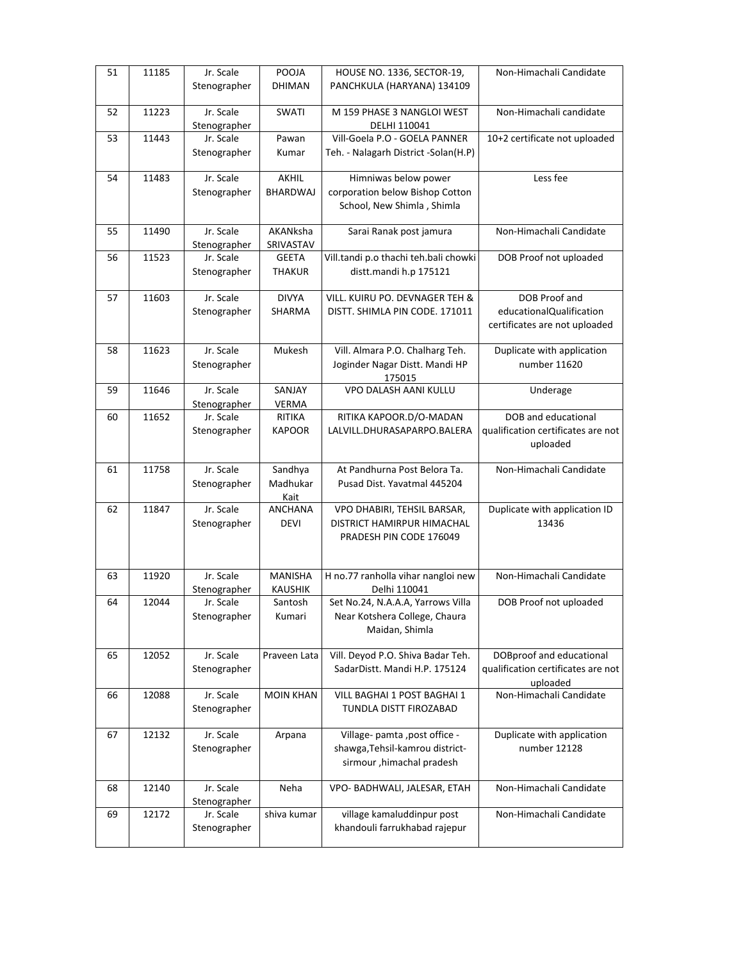| 51 | 11185 | Jr. Scale                 | POOJA                            | HOUSE NO. 1336, SECTOR-19,                         | Non-Himachali Candidate            |
|----|-------|---------------------------|----------------------------------|----------------------------------------------------|------------------------------------|
|    |       | Stenographer              | <b>DHIMAN</b>                    | PANCHKULA (HARYANA) 134109                         |                                    |
| 52 | 11223 | Jr. Scale<br>Stenographer | SWATI                            | M 159 PHASE 3 NANGLOI WEST<br>DELHI 110041         | Non-Himachali candidate            |
| 53 | 11443 | Jr. Scale                 | Pawan                            | Vill-Goela P.O - GOELA PANNER                      | 10+2 certificate not uploaded      |
|    |       | Stenographer              | Kumar                            | Teh. - Nalagarh District -Solan(H.P)               |                                    |
| 54 | 11483 | Jr. Scale                 | AKHIL                            | Himniwas below power                               | Less fee                           |
|    |       | Stenographer              | <b>BHARDWAJ</b>                  | corporation below Bishop Cotton                    |                                    |
|    |       |                           |                                  | School, New Shimla, Shimla                         |                                    |
| 55 | 11490 | Jr. Scale                 | AKANksha                         | Sarai Ranak post jamura                            | Non-Himachali Candidate            |
| 56 | 11523 | Stenographer<br>Jr. Scale | SRIVASTAV<br><b>GEETA</b>        | Vill.tandi p.o thachi teh.bali chowki              | DOB Proof not uploaded             |
|    |       | Stenographer              | <b>THAKUR</b>                    | distt.mandi h.p 175121                             |                                    |
|    |       |                           |                                  |                                                    |                                    |
| 57 | 11603 | Jr. Scale                 | <b>DIVYA</b>                     | VILL. KUIRU PO. DEVNAGER TEH &                     | DOB Proof and                      |
|    |       | Stenographer              | SHARMA                           | DISTT. SHIMLA PIN CODE. 171011                     | educationalQualification           |
|    |       |                           |                                  |                                                    | certificates are not uploaded      |
| 58 | 11623 | Jr. Scale                 | Mukesh                           | Vill. Almara P.O. Chalharg Teh.                    | Duplicate with application         |
|    |       | Stenographer              |                                  | Joginder Nagar Distt. Mandi HP                     | number 11620                       |
|    |       |                           |                                  | 175015                                             |                                    |
| 59 | 11646 | Jr. Scale                 | SANJAY                           | VPO DALASH AANI KULLU                              | Underage                           |
|    | 11652 | Stenographer<br>Jr. Scale | VERMA<br>RITIKA                  | RITIKA KAPOOR.D/O-MADAN                            | DOB and educational                |
| 60 |       | Stenographer              | <b>KAPOOR</b>                    | LALVILL.DHURASAPARPO.BALERA                        | qualification certificates are not |
|    |       |                           |                                  |                                                    | uploaded                           |
| 61 | 11758 | Jr. Scale                 | Sandhya                          | At Pandhurna Post Belora Ta.                       | Non-Himachali Candidate            |
|    |       | Stenographer              | Madhukar                         | Pusad Dist. Yavatmal 445204                        |                                    |
|    |       |                           | Kait                             |                                                    |                                    |
| 62 | 11847 | Jr. Scale                 | ANCHANA                          | VPO DHABIRI, TEHSIL BARSAR,                        | Duplicate with application ID      |
|    |       | Stenographer              | <b>DEVI</b>                      | DISTRICT HAMIRPUR HIMACHAL                         | 13436                              |
|    |       |                           |                                  | PRADESH PIN CODE 176049                            |                                    |
|    |       |                           |                                  |                                                    |                                    |
| 63 | 11920 | Jr. Scale<br>Stenographer | <b>MANISHA</b><br><b>KAUSHIK</b> | H no.77 ranholla vihar nangloi new<br>Delhi 110041 | Non-Himachali Candidate            |
| 64 | 12044 | Jr. Scale                 | Santosh                          | Set No.24, N.A.A.A, Yarrows Villa                  | DOB Proof not uploaded             |
|    |       | Stenographer              | Kumari                           | Near Kotshera College, Chaura                      |                                    |
|    |       |                           |                                  | Maidan, Shimla                                     |                                    |
| 65 | 12052 | Jr. Scale                 | Praveen Lata                     | Vill. Deyod P.O. Shiva Badar Teh.                  | DOBproof and educational           |
|    |       | Stenographer              |                                  | SadarDistt. Mandi H.P. 175124                      | qualification certificates are not |
|    |       |                           |                                  |                                                    | uploaded                           |
| 66 | 12088 | Jr. Scale                 | <b>MOIN KHAN</b>                 | VILL BAGHAI 1 POST BAGHAI 1                        | Non-Himachali Candidate            |
|    |       | Stenographer              |                                  | TUNDLA DISTT FIROZABAD                             |                                    |
| 67 | 12132 | Jr. Scale                 | Arpana                           | Village- pamta , post office -                     | Duplicate with application         |
|    |       | Stenographer              |                                  | shawga, Tehsil-kamrou district-                    | number 12128                       |
|    |       |                           |                                  | sirmour, himachal pradesh                          |                                    |
|    |       |                           |                                  |                                                    |                                    |
| 68 | 12140 | Jr. Scale<br>Stenographer | Neha                             | VPO- BADHWALI, JALESAR, ETAH                       | Non-Himachali Candidate            |
| 69 | 12172 | Jr. Scale                 | shiva kumar                      | village kamaluddinpur post                         | Non-Himachali Candidate            |
|    |       | Stenographer              |                                  | khandouli farrukhabad rajepur                      |                                    |
|    |       |                           |                                  |                                                    |                                    |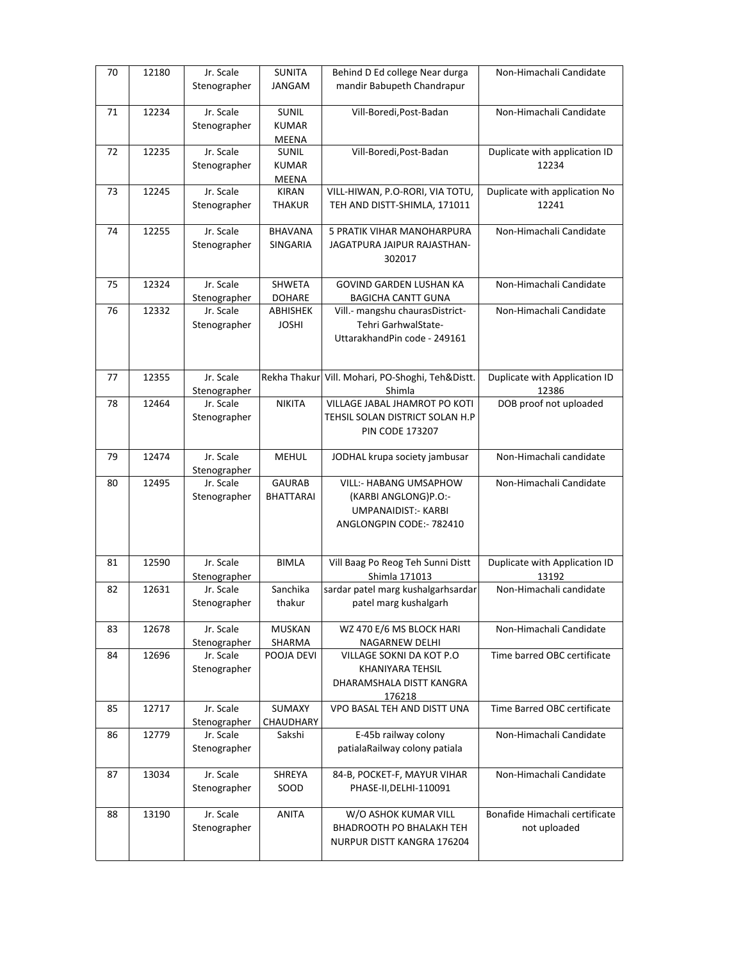| 70 | 12180 | Jr. Scale<br>Stenographer | <b>SUNITA</b><br>JANGAM           | Behind D Ed college Near durga<br>mandir Babupeth Chandrapur                                              | Non-Himachali Candidate                        |
|----|-------|---------------------------|-----------------------------------|-----------------------------------------------------------------------------------------------------------|------------------------------------------------|
| 71 | 12234 | Jr. Scale<br>Stenographer | SUNIL<br><b>KUMAR</b><br>MEENA    | Vill-Boredi, Post-Badan                                                                                   | Non-Himachali Candidate                        |
| 72 | 12235 | Jr. Scale<br>Stenographer | SUNIL<br><b>KUMAR</b><br>MEENA    | Vill-Boredi, Post-Badan                                                                                   | Duplicate with application ID<br>12234         |
| 73 | 12245 | Jr. Scale<br>Stenographer | <b>KIRAN</b><br><b>THAKUR</b>     | VILL-HIWAN, P.O-RORI, VIA TOTU,<br>TEH AND DISTT-SHIMLA, 171011                                           | Duplicate with application No<br>12241         |
| 74 | 12255 | Jr. Scale<br>Stenographer | <b>BHAVANA</b><br>SINGARIA        | <b>5 PRATIK VIHAR MANOHARPURA</b><br>JAGATPURA JAIPUR RAJASTHAN-<br>302017                                | Non-Himachali Candidate                        |
| 75 | 12324 | Jr. Scale<br>Stenographer | SHWETA<br><b>DOHARE</b>           | GOVIND GARDEN LUSHAN KA<br><b>BAGICHA CANTT GUNA</b>                                                      | Non-Himachali Candidate                        |
| 76 | 12332 | Jr. Scale<br>Stenographer | ABHISHEK<br><b>JOSHI</b>          | Vill .- mangshu chaurasDistrict-<br>Tehri GarhwalState-<br>UttarakhandPin code - 249161                   | Non-Himachali Candidate                        |
| 77 | 12355 | Jr. Scale<br>Stenographer | Rekha Thakur                      | Vill. Mohari, PO-Shoghi, Teh&Distt.<br>Shimla                                                             | Duplicate with Application ID<br>12386         |
| 78 | 12464 | Jr. Scale<br>Stenographer | <b>NIKITA</b>                     | VILLAGE JABAL JHAMROT PO KOTI<br>TEHSIL SOLAN DISTRICT SOLAN H.P<br><b>PIN CODE 173207</b>                | DOB proof not uploaded                         |
| 79 | 12474 | Jr. Scale<br>Stenographer | <b>MEHUL</b>                      | JODHAL krupa society jambusar                                                                             | Non-Himachali candidate                        |
| 80 | 12495 | Jr. Scale<br>Stenographer | <b>GAURAB</b><br><b>BHATTARAI</b> | VILL:- HABANG UMSAPHOW<br>(KARBI ANGLONG)P.O:-<br><b>UMPANAIDIST:- KARBI</b><br>ANGLONGPIN CODE: - 782410 | Non-Himachali Candidate                        |
| 81 | 12590 | Jr. Scale<br>Stenographer | <b>BIMLA</b>                      | Vill Baag Po Reog Teh Sunni Distt<br>Shimla 171013                                                        | Duplicate with Application ID<br>13192         |
| 82 | 12631 | Jr. Scale<br>Stenographer | Sanchika<br>thakur                | sardar patel marg kushalgarhsardar<br>patel marg kushalgarh                                               | Non-Himachali candidate                        |
| 83 | 12678 | Jr. Scale<br>Stenographer | <b>MUSKAN</b><br>SHARMA           | WZ 470 E/6 MS BLOCK HARI<br>NAGARNEW DELHI                                                                | Non-Himachali Candidate                        |
| 84 | 12696 | Jr. Scale<br>Stenographer | POOJA DEVI                        | VILLAGE SOKNI DA KOT P.O<br>KHANIYARA TEHSIL<br>DHARAMSHALA DISTT KANGRA<br>176218                        | Time barred OBC certificate                    |
| 85 | 12717 | Jr. Scale<br>Stenographer | SUMAXY<br>CHAUDHARY               | VPO BASAL TEH AND DISTT UNA                                                                               | Time Barred OBC certificate                    |
| 86 | 12779 | Jr. Scale<br>Stenographer | Sakshi                            | E-45b railway colony<br>patialaRailway colony patiala                                                     | Non-Himachali Candidate                        |
| 87 | 13034 | Jr. Scale<br>Stenographer | SHREYA<br>SOOD                    | 84-B, POCKET-F, MAYUR VIHAR<br>PHASE-II, DELHI-110091                                                     | Non-Himachali Candidate                        |
| 88 | 13190 | Jr. Scale<br>Stenographer | <b>ANITA</b>                      | W/O ASHOK KUMAR VILL<br>BHADROOTH PO BHALAKH TEH<br>NURPUR DISTT KANGRA 176204                            | Bonafide Himachali certificate<br>not uploaded |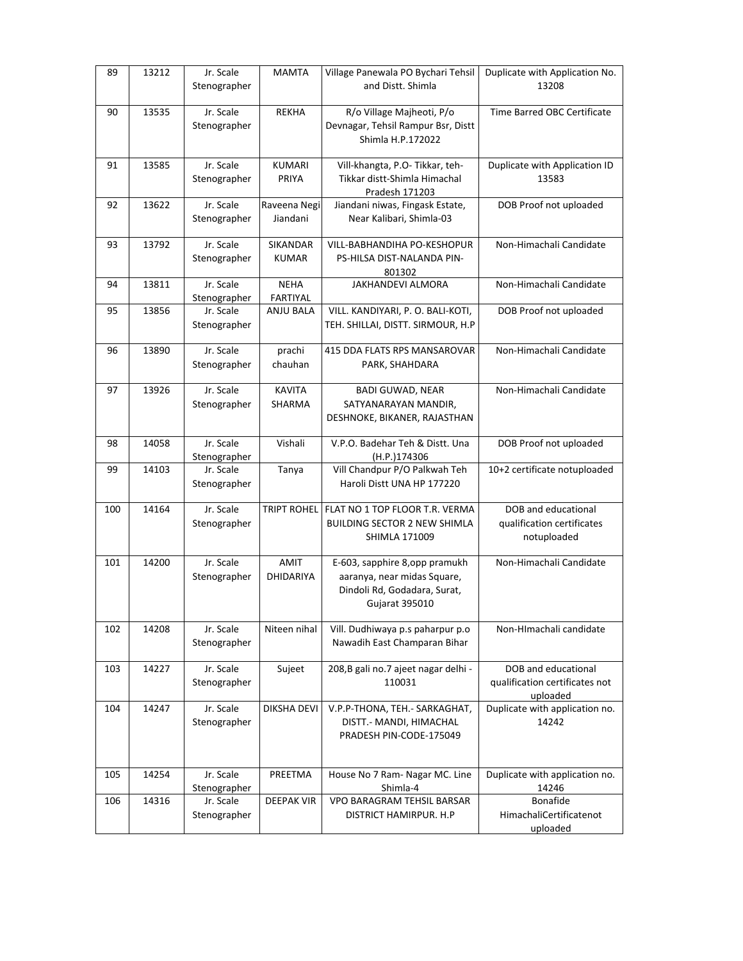| 89  | 13212 | Jr. Scale<br>Stenographer | <b>MAMTA</b>                   | Village Panewala PO Bychari Tehsil<br>and Distt. Shimla                                                         | Duplicate with Application No.<br>13208                           |
|-----|-------|---------------------------|--------------------------------|-----------------------------------------------------------------------------------------------------------------|-------------------------------------------------------------------|
| 90  | 13535 | Jr. Scale<br>Stenographer | <b>REKHA</b>                   | R/o Village Majheoti, P/o<br>Devnagar, Tehsil Rampur Bsr, Distt<br>Shimla H.P.172022                            | Time Barred OBC Certificate                                       |
| 91  | 13585 | Jr. Scale<br>Stenographer | <b>KUMARI</b><br>PRIYA         | Vill-khangta, P.O- Tikkar, teh-<br>Tikkar distt-Shimla Himachal<br>Pradesh 171203                               | Duplicate with Application ID<br>13583                            |
| 92  | 13622 | Jr. Scale<br>Stenographer | Raveena Negi<br>Jiandani       | Jiandani niwas, Fingask Estate,<br>Near Kalibari, Shimla-03                                                     | DOB Proof not uploaded                                            |
| 93  | 13792 | Jr. Scale<br>Stenographer | SIKANDAR<br><b>KUMAR</b>       | VILL-BABHANDIHA PO-KESHOPUR<br>PS-HILSA DIST-NALANDA PIN-<br>801302                                             | Non-Himachali Candidate                                           |
| 94  | 13811 | Jr. Scale<br>Stenographer | <b>NEHA</b><br><b>FARTIYAL</b> | JAKHANDEVI ALMORA                                                                                               | Non-Himachali Candidate                                           |
| 95  | 13856 | Jr. Scale<br>Stenographer | <b>ANJU BALA</b>               | VILL. KANDIYARI, P. O. BALI-KOTI,<br>TEH. SHILLAI, DISTT. SIRMOUR, H.P                                          | DOB Proof not uploaded                                            |
| 96  | 13890 | Jr. Scale<br>Stenographer | prachi<br>chauhan              | 415 DDA FLATS RPS MANSAROVAR<br>PARK, SHAHDARA                                                                  | Non-Himachali Candidate                                           |
| 97  | 13926 | Jr. Scale<br>Stenographer | <b>KAVITA</b><br>SHARMA        | <b>BADI GUWAD, NEAR</b><br>SATYANARAYAN MANDIR.<br>DESHNOKE, BIKANER, RAJASTHAN                                 | Non-Himachali Candidate                                           |
| 98  | 14058 | Jr. Scale<br>Stenographer | Vishali                        | V.P.O. Badehar Teh & Distt. Una<br>(H.P.)174306                                                                 | DOB Proof not uploaded                                            |
| 99  | 14103 | Jr. Scale<br>Stenographer | Tanya                          | Vill Chandpur P/O Palkwah Teh<br>Haroli Distt UNA HP 177220                                                     | 10+2 certificate notuploaded                                      |
| 100 | 14164 | Jr. Scale<br>Stenographer | <b>TRIPT ROHEL</b>             | FLAT NO 1 TOP FLOOR T.R. VERMA<br><b>BUILDING SECTOR 2 NEW SHIMLA</b><br><b>SHIMLA 171009</b>                   | DOB and educational<br>qualification certificates<br>notuploaded  |
| 101 | 14200 | Jr. Scale<br>Stenographer | AMIT<br>DHIDARIYA              | E-603, sapphire 8, opp pramukh<br>aaranya, near midas Square,<br>Dindoli Rd, Godadara, Surat,<br>Gujarat 395010 | Non-Himachali Candidate                                           |
| 102 | 14208 | Jr. Scale<br>Stenographer | Niteen nihal                   | Vill. Dudhiwaya p.s paharpur p.o<br>Nawadih East Champaran Bihar                                                | Non-HImachali candidate                                           |
| 103 | 14227 | Jr. Scale<br>Stenographer | Sujeet                         | 208, B gali no. 7 ajeet nagar delhi -<br>110031                                                                 | DOB and educational<br>qualification certificates not<br>uploaded |
| 104 | 14247 | Jr. Scale<br>Stenographer | DIKSHA DEVI                    | V.P.P-THONA, TEH.- SARKAGHAT,<br>DISTT.- MANDI, HIMACHAL<br>PRADESH PIN-CODE-175049                             | Duplicate with application no.<br>14242                           |
| 105 | 14254 | Jr. Scale<br>Stenographer | PREETMA                        | House No 7 Ram- Nagar MC. Line<br>Shimla-4                                                                      | Duplicate with application no.<br>14246                           |
| 106 | 14316 | Jr. Scale<br>Stenographer | <b>DEEPAK VIR</b>              | <b>VPO BARAGRAM TEHSIL BARSAR</b><br>DISTRICT HAMIRPUR. H.P                                                     | Bonafide<br>HimachaliCertificatenot<br>uploaded                   |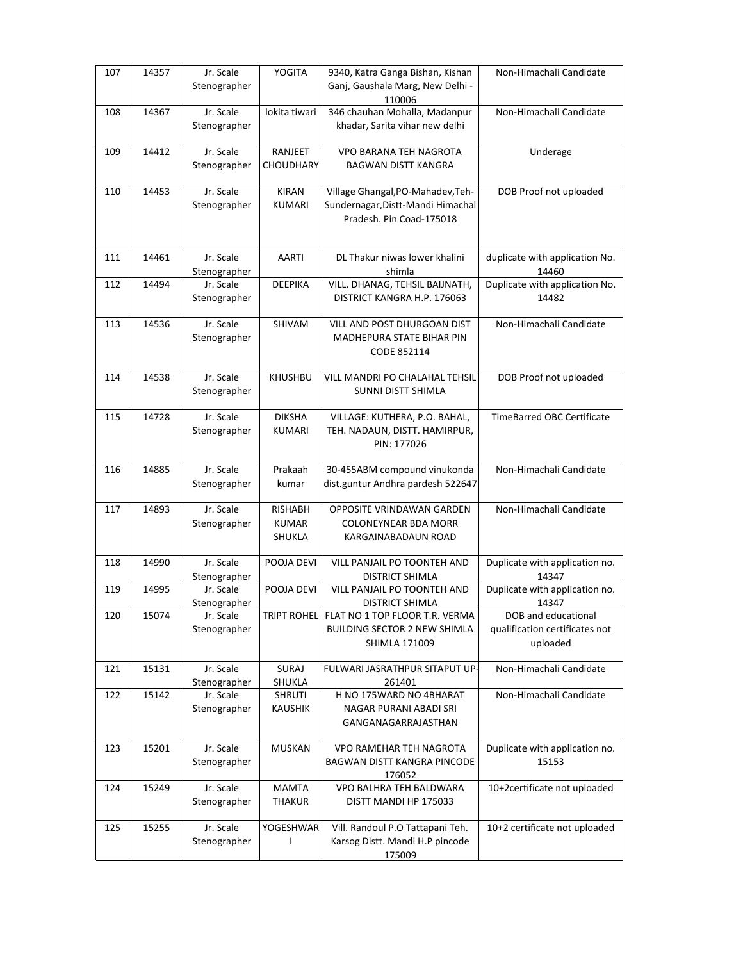| 110006<br>346 chauhan Mohalla, Madanpur<br>Jr. Scale<br>lokita tiwari<br>Non-Himachali Candidate<br>14367<br>108<br>khadar, Sarita vihar new delhi<br>Stenographer<br>14412<br>Jr. Scale<br>VPO BARANA TEH NAGROTA<br><b>RANJEET</b><br>Underage<br>109<br>CHOUDHARY<br>Stenographer<br>BAGWAN DISTT KANGRA<br>14453<br>Jr. Scale<br><b>KIRAN</b><br>Village Ghangal, PO-Mahadev, Teh-<br>DOB Proof not uploaded<br>110<br><b>KUMARI</b><br>Sundernagar, Distt-Mandi Himachal<br>Stenographer<br>Pradesh. Pin Coad-175018<br>DL Thakur niwas lower khalini<br>duplicate with application No.<br>111<br>14461<br>Jr. Scale<br>AARTI<br>14460<br>Stenographer<br>shimla<br>Duplicate with application No.<br>14494<br>Jr. Scale<br><b>DEEPIKA</b><br>VILL. DHANAG, TEHSIL BAIJNATH,<br>112<br>DISTRICT KANGRA H.P. 176063<br>14482<br>Stenographer<br>14536<br>Jr. Scale<br>SHIVAM<br>VILL AND POST DHURGOAN DIST<br>Non-Himachali Candidate<br>113<br>Stenographer<br>MADHEPURA STATE BIHAR PIN<br>CODE 852114<br>Jr. Scale<br>DOB Proof not uploaded<br>14538<br><b>KHUSHBU</b><br>VILL MANDRI PO CHALAHAL TEHSIL<br>114<br>SUNNI DISTT SHIMLA<br>Stenographer<br>Jr. Scale<br><b>DIKSHA</b><br>14728<br>VILLAGE: KUTHERA, P.O. BAHAL,<br><b>TimeBarred OBC Certificate</b><br>115<br><b>KUMARI</b><br>TEH. NADAUN, DISTT. HAMIRPUR,<br>Stenographer<br>PIN: 177026<br>Jr. Scale<br>30-455ABM compound vinukonda<br>Non-Himachali Candidate<br>14885<br>Prakaah<br>116<br>dist.guntur Andhra pardesh 522647<br>Stenographer<br>kumar<br>Jr. Scale<br>Non-Himachali Candidate<br>14893<br><b>RISHABH</b><br>117<br>OPPOSITE VRINDAWAN GARDEN<br>Stenographer<br><b>KUMAR</b><br><b>COLONEYNEAR BDA MORR</b><br>SHUKLA<br>KARGAINABADAUN ROAD<br>Jr. Scale<br>Duplicate with application no.<br>14990<br>POOJA DEVI<br>VILL PANJAIL PO TOONTEH AND<br>118<br>14347<br>Stenographer<br><b>DISTRICT SHIMLA</b><br>Jr. Scale<br>POOJA DEVI<br>Duplicate with application no.<br>14995<br>VILL PANJAIL PO TOONTEH AND<br>119<br>Stenographer<br><b>DISTRICT SHIMLA</b><br>14347<br>Jr. Scale<br>TRIPT ROHEL FLAT NO 1 TOP FLOOR T.R. VERMA<br>DOB and educational<br>120<br>15074<br>qualification certificates not<br>Stenographer<br><b>BUILDING SECTOR 2 NEW SHIMLA</b><br>uploaded<br>SHIMLA 171009<br>Non-Himachali Candidate<br>Jr. Scale<br>SURAJ<br>FULWARI JASRATHPUR SITAPUT UP-<br>15131<br>121<br>Stenographer<br>SHUKLA<br>261401<br>15142<br>Jr. Scale<br>H NO 175WARD NO 4BHARAT<br>122<br>SHRUTI<br>Non-Himachali Candidate<br>Stenographer<br><b>KAUSHIK</b><br>NAGAR PURANI ABADI SRI<br>GANGANAGARRAJASTHAN<br>Jr. Scale<br>Duplicate with application no.<br>15201<br><b>MUSKAN</b><br>VPO RAMEHAR TEH NAGROTA<br>123<br>Stenographer<br><b>BAGWAN DISTT KANGRA PINCODE</b><br>15153<br>176052<br>Jr. Scale<br><b>MAMTA</b><br>10+2certificate not uploaded<br>15249<br>VPO BALHRA TEH BALDWARA<br>124<br>Stenographer<br><b>THAKUR</b><br>DISTT MANDI HP 175033<br>Vill. Randoul P.O Tattapani Teh.<br>10+2 certificate not uploaded<br>Jr. Scale<br>YOGESHWAR<br>15255<br>125<br>Karsog Distt. Mandi H.P pincode<br>Stenographer<br>$\mathsf{I}$<br>175009 | 107 | 14357 | Jr. Scale    | <b>YOGITA</b> | 9340, Katra Ganga Bishan, Kishan | Non-Himachali Candidate |
|----------------------------------------------------------------------------------------------------------------------------------------------------------------------------------------------------------------------------------------------------------------------------------------------------------------------------------------------------------------------------------------------------------------------------------------------------------------------------------------------------------------------------------------------------------------------------------------------------------------------------------------------------------------------------------------------------------------------------------------------------------------------------------------------------------------------------------------------------------------------------------------------------------------------------------------------------------------------------------------------------------------------------------------------------------------------------------------------------------------------------------------------------------------------------------------------------------------------------------------------------------------------------------------------------------------------------------------------------------------------------------------------------------------------------------------------------------------------------------------------------------------------------------------------------------------------------------------------------------------------------------------------------------------------------------------------------------------------------------------------------------------------------------------------------------------------------------------------------------------------------------------------------------------------------------------------------------------------------------------------------------------------------------------------------------------------------------------------------------------------------------------------------------------------------------------------------------------------------------------------------------------------------------------------------------------------------------------------------------------------------------------------------------------------------------------------------------------------------------------------------------------------------------------------------------------------------------------------------------------------------------------------------------------------------------------------------------------------------------------------------------------------------------------------------------------------------------------------------------------------------------------------------------------------------------------------------------------------------------------------------------------------------------------------------------------------------------------------------------------------------------------------------------------------------|-----|-------|--------------|---------------|----------------------------------|-------------------------|
|                                                                                                                                                                                                                                                                                                                                                                                                                                                                                                                                                                                                                                                                                                                                                                                                                                                                                                                                                                                                                                                                                                                                                                                                                                                                                                                                                                                                                                                                                                                                                                                                                                                                                                                                                                                                                                                                                                                                                                                                                                                                                                                                                                                                                                                                                                                                                                                                                                                                                                                                                                                                                                                                                                                                                                                                                                                                                                                                                                                                                                                                                                                                                                            |     |       | Stenographer |               | Ganj, Gaushala Marg, New Delhi - |                         |
|                                                                                                                                                                                                                                                                                                                                                                                                                                                                                                                                                                                                                                                                                                                                                                                                                                                                                                                                                                                                                                                                                                                                                                                                                                                                                                                                                                                                                                                                                                                                                                                                                                                                                                                                                                                                                                                                                                                                                                                                                                                                                                                                                                                                                                                                                                                                                                                                                                                                                                                                                                                                                                                                                                                                                                                                                                                                                                                                                                                                                                                                                                                                                                            |     |       |              |               |                                  |                         |
|                                                                                                                                                                                                                                                                                                                                                                                                                                                                                                                                                                                                                                                                                                                                                                                                                                                                                                                                                                                                                                                                                                                                                                                                                                                                                                                                                                                                                                                                                                                                                                                                                                                                                                                                                                                                                                                                                                                                                                                                                                                                                                                                                                                                                                                                                                                                                                                                                                                                                                                                                                                                                                                                                                                                                                                                                                                                                                                                                                                                                                                                                                                                                                            |     |       |              |               |                                  |                         |
|                                                                                                                                                                                                                                                                                                                                                                                                                                                                                                                                                                                                                                                                                                                                                                                                                                                                                                                                                                                                                                                                                                                                                                                                                                                                                                                                                                                                                                                                                                                                                                                                                                                                                                                                                                                                                                                                                                                                                                                                                                                                                                                                                                                                                                                                                                                                                                                                                                                                                                                                                                                                                                                                                                                                                                                                                                                                                                                                                                                                                                                                                                                                                                            |     |       |              |               |                                  |                         |
|                                                                                                                                                                                                                                                                                                                                                                                                                                                                                                                                                                                                                                                                                                                                                                                                                                                                                                                                                                                                                                                                                                                                                                                                                                                                                                                                                                                                                                                                                                                                                                                                                                                                                                                                                                                                                                                                                                                                                                                                                                                                                                                                                                                                                                                                                                                                                                                                                                                                                                                                                                                                                                                                                                                                                                                                                                                                                                                                                                                                                                                                                                                                                                            |     |       |              |               |                                  |                         |
|                                                                                                                                                                                                                                                                                                                                                                                                                                                                                                                                                                                                                                                                                                                                                                                                                                                                                                                                                                                                                                                                                                                                                                                                                                                                                                                                                                                                                                                                                                                                                                                                                                                                                                                                                                                                                                                                                                                                                                                                                                                                                                                                                                                                                                                                                                                                                                                                                                                                                                                                                                                                                                                                                                                                                                                                                                                                                                                                                                                                                                                                                                                                                                            |     |       |              |               |                                  |                         |
|                                                                                                                                                                                                                                                                                                                                                                                                                                                                                                                                                                                                                                                                                                                                                                                                                                                                                                                                                                                                                                                                                                                                                                                                                                                                                                                                                                                                                                                                                                                                                                                                                                                                                                                                                                                                                                                                                                                                                                                                                                                                                                                                                                                                                                                                                                                                                                                                                                                                                                                                                                                                                                                                                                                                                                                                                                                                                                                                                                                                                                                                                                                                                                            |     |       |              |               |                                  |                         |
|                                                                                                                                                                                                                                                                                                                                                                                                                                                                                                                                                                                                                                                                                                                                                                                                                                                                                                                                                                                                                                                                                                                                                                                                                                                                                                                                                                                                                                                                                                                                                                                                                                                                                                                                                                                                                                                                                                                                                                                                                                                                                                                                                                                                                                                                                                                                                                                                                                                                                                                                                                                                                                                                                                                                                                                                                                                                                                                                                                                                                                                                                                                                                                            |     |       |              |               |                                  |                         |
|                                                                                                                                                                                                                                                                                                                                                                                                                                                                                                                                                                                                                                                                                                                                                                                                                                                                                                                                                                                                                                                                                                                                                                                                                                                                                                                                                                                                                                                                                                                                                                                                                                                                                                                                                                                                                                                                                                                                                                                                                                                                                                                                                                                                                                                                                                                                                                                                                                                                                                                                                                                                                                                                                                                                                                                                                                                                                                                                                                                                                                                                                                                                                                            |     |       |              |               |                                  |                         |
|                                                                                                                                                                                                                                                                                                                                                                                                                                                                                                                                                                                                                                                                                                                                                                                                                                                                                                                                                                                                                                                                                                                                                                                                                                                                                                                                                                                                                                                                                                                                                                                                                                                                                                                                                                                                                                                                                                                                                                                                                                                                                                                                                                                                                                                                                                                                                                                                                                                                                                                                                                                                                                                                                                                                                                                                                                                                                                                                                                                                                                                                                                                                                                            |     |       |              |               |                                  |                         |
|                                                                                                                                                                                                                                                                                                                                                                                                                                                                                                                                                                                                                                                                                                                                                                                                                                                                                                                                                                                                                                                                                                                                                                                                                                                                                                                                                                                                                                                                                                                                                                                                                                                                                                                                                                                                                                                                                                                                                                                                                                                                                                                                                                                                                                                                                                                                                                                                                                                                                                                                                                                                                                                                                                                                                                                                                                                                                                                                                                                                                                                                                                                                                                            |     |       |              |               |                                  |                         |
|                                                                                                                                                                                                                                                                                                                                                                                                                                                                                                                                                                                                                                                                                                                                                                                                                                                                                                                                                                                                                                                                                                                                                                                                                                                                                                                                                                                                                                                                                                                                                                                                                                                                                                                                                                                                                                                                                                                                                                                                                                                                                                                                                                                                                                                                                                                                                                                                                                                                                                                                                                                                                                                                                                                                                                                                                                                                                                                                                                                                                                                                                                                                                                            |     |       |              |               |                                  |                         |
|                                                                                                                                                                                                                                                                                                                                                                                                                                                                                                                                                                                                                                                                                                                                                                                                                                                                                                                                                                                                                                                                                                                                                                                                                                                                                                                                                                                                                                                                                                                                                                                                                                                                                                                                                                                                                                                                                                                                                                                                                                                                                                                                                                                                                                                                                                                                                                                                                                                                                                                                                                                                                                                                                                                                                                                                                                                                                                                                                                                                                                                                                                                                                                            |     |       |              |               |                                  |                         |
|                                                                                                                                                                                                                                                                                                                                                                                                                                                                                                                                                                                                                                                                                                                                                                                                                                                                                                                                                                                                                                                                                                                                                                                                                                                                                                                                                                                                                                                                                                                                                                                                                                                                                                                                                                                                                                                                                                                                                                                                                                                                                                                                                                                                                                                                                                                                                                                                                                                                                                                                                                                                                                                                                                                                                                                                                                                                                                                                                                                                                                                                                                                                                                            |     |       |              |               |                                  |                         |
|                                                                                                                                                                                                                                                                                                                                                                                                                                                                                                                                                                                                                                                                                                                                                                                                                                                                                                                                                                                                                                                                                                                                                                                                                                                                                                                                                                                                                                                                                                                                                                                                                                                                                                                                                                                                                                                                                                                                                                                                                                                                                                                                                                                                                                                                                                                                                                                                                                                                                                                                                                                                                                                                                                                                                                                                                                                                                                                                                                                                                                                                                                                                                                            |     |       |              |               |                                  |                         |
|                                                                                                                                                                                                                                                                                                                                                                                                                                                                                                                                                                                                                                                                                                                                                                                                                                                                                                                                                                                                                                                                                                                                                                                                                                                                                                                                                                                                                                                                                                                                                                                                                                                                                                                                                                                                                                                                                                                                                                                                                                                                                                                                                                                                                                                                                                                                                                                                                                                                                                                                                                                                                                                                                                                                                                                                                                                                                                                                                                                                                                                                                                                                                                            |     |       |              |               |                                  |                         |
|                                                                                                                                                                                                                                                                                                                                                                                                                                                                                                                                                                                                                                                                                                                                                                                                                                                                                                                                                                                                                                                                                                                                                                                                                                                                                                                                                                                                                                                                                                                                                                                                                                                                                                                                                                                                                                                                                                                                                                                                                                                                                                                                                                                                                                                                                                                                                                                                                                                                                                                                                                                                                                                                                                                                                                                                                                                                                                                                                                                                                                                                                                                                                                            |     |       |              |               |                                  |                         |
|                                                                                                                                                                                                                                                                                                                                                                                                                                                                                                                                                                                                                                                                                                                                                                                                                                                                                                                                                                                                                                                                                                                                                                                                                                                                                                                                                                                                                                                                                                                                                                                                                                                                                                                                                                                                                                                                                                                                                                                                                                                                                                                                                                                                                                                                                                                                                                                                                                                                                                                                                                                                                                                                                                                                                                                                                                                                                                                                                                                                                                                                                                                                                                            |     |       |              |               |                                  |                         |
|                                                                                                                                                                                                                                                                                                                                                                                                                                                                                                                                                                                                                                                                                                                                                                                                                                                                                                                                                                                                                                                                                                                                                                                                                                                                                                                                                                                                                                                                                                                                                                                                                                                                                                                                                                                                                                                                                                                                                                                                                                                                                                                                                                                                                                                                                                                                                                                                                                                                                                                                                                                                                                                                                                                                                                                                                                                                                                                                                                                                                                                                                                                                                                            |     |       |              |               |                                  |                         |
|                                                                                                                                                                                                                                                                                                                                                                                                                                                                                                                                                                                                                                                                                                                                                                                                                                                                                                                                                                                                                                                                                                                                                                                                                                                                                                                                                                                                                                                                                                                                                                                                                                                                                                                                                                                                                                                                                                                                                                                                                                                                                                                                                                                                                                                                                                                                                                                                                                                                                                                                                                                                                                                                                                                                                                                                                                                                                                                                                                                                                                                                                                                                                                            |     |       |              |               |                                  |                         |
|                                                                                                                                                                                                                                                                                                                                                                                                                                                                                                                                                                                                                                                                                                                                                                                                                                                                                                                                                                                                                                                                                                                                                                                                                                                                                                                                                                                                                                                                                                                                                                                                                                                                                                                                                                                                                                                                                                                                                                                                                                                                                                                                                                                                                                                                                                                                                                                                                                                                                                                                                                                                                                                                                                                                                                                                                                                                                                                                                                                                                                                                                                                                                                            |     |       |              |               |                                  |                         |
|                                                                                                                                                                                                                                                                                                                                                                                                                                                                                                                                                                                                                                                                                                                                                                                                                                                                                                                                                                                                                                                                                                                                                                                                                                                                                                                                                                                                                                                                                                                                                                                                                                                                                                                                                                                                                                                                                                                                                                                                                                                                                                                                                                                                                                                                                                                                                                                                                                                                                                                                                                                                                                                                                                                                                                                                                                                                                                                                                                                                                                                                                                                                                                            |     |       |              |               |                                  |                         |
|                                                                                                                                                                                                                                                                                                                                                                                                                                                                                                                                                                                                                                                                                                                                                                                                                                                                                                                                                                                                                                                                                                                                                                                                                                                                                                                                                                                                                                                                                                                                                                                                                                                                                                                                                                                                                                                                                                                                                                                                                                                                                                                                                                                                                                                                                                                                                                                                                                                                                                                                                                                                                                                                                                                                                                                                                                                                                                                                                                                                                                                                                                                                                                            |     |       |              |               |                                  |                         |
|                                                                                                                                                                                                                                                                                                                                                                                                                                                                                                                                                                                                                                                                                                                                                                                                                                                                                                                                                                                                                                                                                                                                                                                                                                                                                                                                                                                                                                                                                                                                                                                                                                                                                                                                                                                                                                                                                                                                                                                                                                                                                                                                                                                                                                                                                                                                                                                                                                                                                                                                                                                                                                                                                                                                                                                                                                                                                                                                                                                                                                                                                                                                                                            |     |       |              |               |                                  |                         |
|                                                                                                                                                                                                                                                                                                                                                                                                                                                                                                                                                                                                                                                                                                                                                                                                                                                                                                                                                                                                                                                                                                                                                                                                                                                                                                                                                                                                                                                                                                                                                                                                                                                                                                                                                                                                                                                                                                                                                                                                                                                                                                                                                                                                                                                                                                                                                                                                                                                                                                                                                                                                                                                                                                                                                                                                                                                                                                                                                                                                                                                                                                                                                                            |     |       |              |               |                                  |                         |
|                                                                                                                                                                                                                                                                                                                                                                                                                                                                                                                                                                                                                                                                                                                                                                                                                                                                                                                                                                                                                                                                                                                                                                                                                                                                                                                                                                                                                                                                                                                                                                                                                                                                                                                                                                                                                                                                                                                                                                                                                                                                                                                                                                                                                                                                                                                                                                                                                                                                                                                                                                                                                                                                                                                                                                                                                                                                                                                                                                                                                                                                                                                                                                            |     |       |              |               |                                  |                         |
|                                                                                                                                                                                                                                                                                                                                                                                                                                                                                                                                                                                                                                                                                                                                                                                                                                                                                                                                                                                                                                                                                                                                                                                                                                                                                                                                                                                                                                                                                                                                                                                                                                                                                                                                                                                                                                                                                                                                                                                                                                                                                                                                                                                                                                                                                                                                                                                                                                                                                                                                                                                                                                                                                                                                                                                                                                                                                                                                                                                                                                                                                                                                                                            |     |       |              |               |                                  |                         |
|                                                                                                                                                                                                                                                                                                                                                                                                                                                                                                                                                                                                                                                                                                                                                                                                                                                                                                                                                                                                                                                                                                                                                                                                                                                                                                                                                                                                                                                                                                                                                                                                                                                                                                                                                                                                                                                                                                                                                                                                                                                                                                                                                                                                                                                                                                                                                                                                                                                                                                                                                                                                                                                                                                                                                                                                                                                                                                                                                                                                                                                                                                                                                                            |     |       |              |               |                                  |                         |
|                                                                                                                                                                                                                                                                                                                                                                                                                                                                                                                                                                                                                                                                                                                                                                                                                                                                                                                                                                                                                                                                                                                                                                                                                                                                                                                                                                                                                                                                                                                                                                                                                                                                                                                                                                                                                                                                                                                                                                                                                                                                                                                                                                                                                                                                                                                                                                                                                                                                                                                                                                                                                                                                                                                                                                                                                                                                                                                                                                                                                                                                                                                                                                            |     |       |              |               |                                  |                         |
|                                                                                                                                                                                                                                                                                                                                                                                                                                                                                                                                                                                                                                                                                                                                                                                                                                                                                                                                                                                                                                                                                                                                                                                                                                                                                                                                                                                                                                                                                                                                                                                                                                                                                                                                                                                                                                                                                                                                                                                                                                                                                                                                                                                                                                                                                                                                                                                                                                                                                                                                                                                                                                                                                                                                                                                                                                                                                                                                                                                                                                                                                                                                                                            |     |       |              |               |                                  |                         |
|                                                                                                                                                                                                                                                                                                                                                                                                                                                                                                                                                                                                                                                                                                                                                                                                                                                                                                                                                                                                                                                                                                                                                                                                                                                                                                                                                                                                                                                                                                                                                                                                                                                                                                                                                                                                                                                                                                                                                                                                                                                                                                                                                                                                                                                                                                                                                                                                                                                                                                                                                                                                                                                                                                                                                                                                                                                                                                                                                                                                                                                                                                                                                                            |     |       |              |               |                                  |                         |
|                                                                                                                                                                                                                                                                                                                                                                                                                                                                                                                                                                                                                                                                                                                                                                                                                                                                                                                                                                                                                                                                                                                                                                                                                                                                                                                                                                                                                                                                                                                                                                                                                                                                                                                                                                                                                                                                                                                                                                                                                                                                                                                                                                                                                                                                                                                                                                                                                                                                                                                                                                                                                                                                                                                                                                                                                                                                                                                                                                                                                                                                                                                                                                            |     |       |              |               |                                  |                         |
|                                                                                                                                                                                                                                                                                                                                                                                                                                                                                                                                                                                                                                                                                                                                                                                                                                                                                                                                                                                                                                                                                                                                                                                                                                                                                                                                                                                                                                                                                                                                                                                                                                                                                                                                                                                                                                                                                                                                                                                                                                                                                                                                                                                                                                                                                                                                                                                                                                                                                                                                                                                                                                                                                                                                                                                                                                                                                                                                                                                                                                                                                                                                                                            |     |       |              |               |                                  |                         |
|                                                                                                                                                                                                                                                                                                                                                                                                                                                                                                                                                                                                                                                                                                                                                                                                                                                                                                                                                                                                                                                                                                                                                                                                                                                                                                                                                                                                                                                                                                                                                                                                                                                                                                                                                                                                                                                                                                                                                                                                                                                                                                                                                                                                                                                                                                                                                                                                                                                                                                                                                                                                                                                                                                                                                                                                                                                                                                                                                                                                                                                                                                                                                                            |     |       |              |               |                                  |                         |
|                                                                                                                                                                                                                                                                                                                                                                                                                                                                                                                                                                                                                                                                                                                                                                                                                                                                                                                                                                                                                                                                                                                                                                                                                                                                                                                                                                                                                                                                                                                                                                                                                                                                                                                                                                                                                                                                                                                                                                                                                                                                                                                                                                                                                                                                                                                                                                                                                                                                                                                                                                                                                                                                                                                                                                                                                                                                                                                                                                                                                                                                                                                                                                            |     |       |              |               |                                  |                         |
|                                                                                                                                                                                                                                                                                                                                                                                                                                                                                                                                                                                                                                                                                                                                                                                                                                                                                                                                                                                                                                                                                                                                                                                                                                                                                                                                                                                                                                                                                                                                                                                                                                                                                                                                                                                                                                                                                                                                                                                                                                                                                                                                                                                                                                                                                                                                                                                                                                                                                                                                                                                                                                                                                                                                                                                                                                                                                                                                                                                                                                                                                                                                                                            |     |       |              |               |                                  |                         |
|                                                                                                                                                                                                                                                                                                                                                                                                                                                                                                                                                                                                                                                                                                                                                                                                                                                                                                                                                                                                                                                                                                                                                                                                                                                                                                                                                                                                                                                                                                                                                                                                                                                                                                                                                                                                                                                                                                                                                                                                                                                                                                                                                                                                                                                                                                                                                                                                                                                                                                                                                                                                                                                                                                                                                                                                                                                                                                                                                                                                                                                                                                                                                                            |     |       |              |               |                                  |                         |
|                                                                                                                                                                                                                                                                                                                                                                                                                                                                                                                                                                                                                                                                                                                                                                                                                                                                                                                                                                                                                                                                                                                                                                                                                                                                                                                                                                                                                                                                                                                                                                                                                                                                                                                                                                                                                                                                                                                                                                                                                                                                                                                                                                                                                                                                                                                                                                                                                                                                                                                                                                                                                                                                                                                                                                                                                                                                                                                                                                                                                                                                                                                                                                            |     |       |              |               |                                  |                         |
|                                                                                                                                                                                                                                                                                                                                                                                                                                                                                                                                                                                                                                                                                                                                                                                                                                                                                                                                                                                                                                                                                                                                                                                                                                                                                                                                                                                                                                                                                                                                                                                                                                                                                                                                                                                                                                                                                                                                                                                                                                                                                                                                                                                                                                                                                                                                                                                                                                                                                                                                                                                                                                                                                                                                                                                                                                                                                                                                                                                                                                                                                                                                                                            |     |       |              |               |                                  |                         |
|                                                                                                                                                                                                                                                                                                                                                                                                                                                                                                                                                                                                                                                                                                                                                                                                                                                                                                                                                                                                                                                                                                                                                                                                                                                                                                                                                                                                                                                                                                                                                                                                                                                                                                                                                                                                                                                                                                                                                                                                                                                                                                                                                                                                                                                                                                                                                                                                                                                                                                                                                                                                                                                                                                                                                                                                                                                                                                                                                                                                                                                                                                                                                                            |     |       |              |               |                                  |                         |
|                                                                                                                                                                                                                                                                                                                                                                                                                                                                                                                                                                                                                                                                                                                                                                                                                                                                                                                                                                                                                                                                                                                                                                                                                                                                                                                                                                                                                                                                                                                                                                                                                                                                                                                                                                                                                                                                                                                                                                                                                                                                                                                                                                                                                                                                                                                                                                                                                                                                                                                                                                                                                                                                                                                                                                                                                                                                                                                                                                                                                                                                                                                                                                            |     |       |              |               |                                  |                         |
|                                                                                                                                                                                                                                                                                                                                                                                                                                                                                                                                                                                                                                                                                                                                                                                                                                                                                                                                                                                                                                                                                                                                                                                                                                                                                                                                                                                                                                                                                                                                                                                                                                                                                                                                                                                                                                                                                                                                                                                                                                                                                                                                                                                                                                                                                                                                                                                                                                                                                                                                                                                                                                                                                                                                                                                                                                                                                                                                                                                                                                                                                                                                                                            |     |       |              |               |                                  |                         |
|                                                                                                                                                                                                                                                                                                                                                                                                                                                                                                                                                                                                                                                                                                                                                                                                                                                                                                                                                                                                                                                                                                                                                                                                                                                                                                                                                                                                                                                                                                                                                                                                                                                                                                                                                                                                                                                                                                                                                                                                                                                                                                                                                                                                                                                                                                                                                                                                                                                                                                                                                                                                                                                                                                                                                                                                                                                                                                                                                                                                                                                                                                                                                                            |     |       |              |               |                                  |                         |
|                                                                                                                                                                                                                                                                                                                                                                                                                                                                                                                                                                                                                                                                                                                                                                                                                                                                                                                                                                                                                                                                                                                                                                                                                                                                                                                                                                                                                                                                                                                                                                                                                                                                                                                                                                                                                                                                                                                                                                                                                                                                                                                                                                                                                                                                                                                                                                                                                                                                                                                                                                                                                                                                                                                                                                                                                                                                                                                                                                                                                                                                                                                                                                            |     |       |              |               |                                  |                         |
|                                                                                                                                                                                                                                                                                                                                                                                                                                                                                                                                                                                                                                                                                                                                                                                                                                                                                                                                                                                                                                                                                                                                                                                                                                                                                                                                                                                                                                                                                                                                                                                                                                                                                                                                                                                                                                                                                                                                                                                                                                                                                                                                                                                                                                                                                                                                                                                                                                                                                                                                                                                                                                                                                                                                                                                                                                                                                                                                                                                                                                                                                                                                                                            |     |       |              |               |                                  |                         |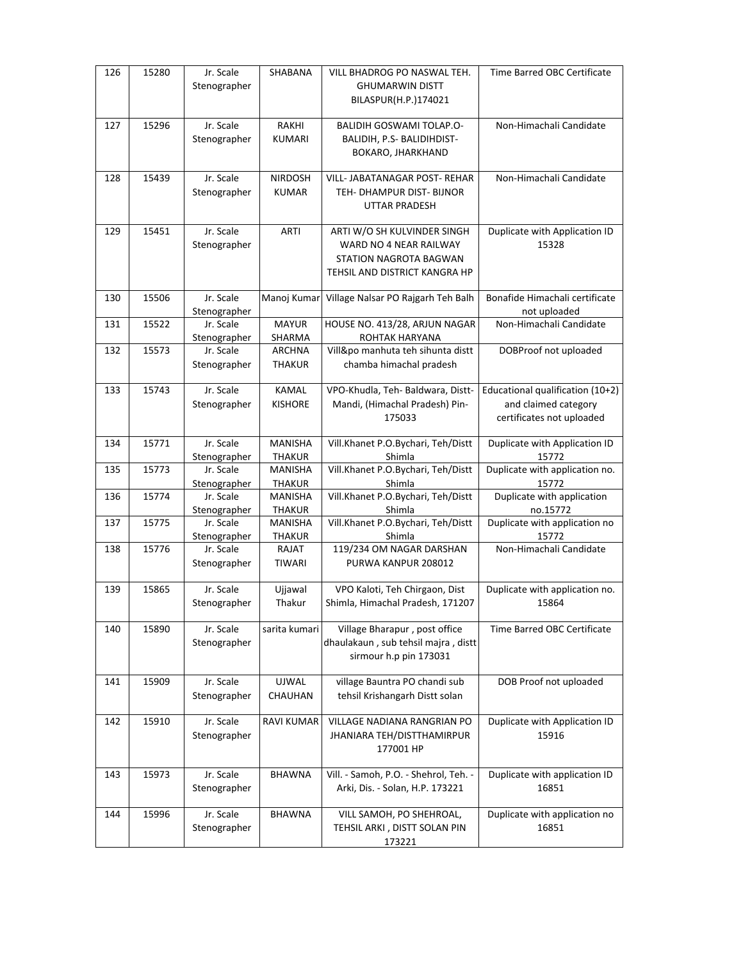| 126 | 15280 | Jr. Scale                 | SHABANA                         | VILL BHADROG PO NASWAL TEH.                     | Time Barred OBC Certificate            |
|-----|-------|---------------------------|---------------------------------|-------------------------------------------------|----------------------------------------|
|     |       | Stenographer              |                                 | <b>GHUMARWIN DISTT</b>                          |                                        |
|     |       |                           |                                 | BILASPUR(H.P.)174021                            |                                        |
| 127 | 15296 | Jr. Scale                 | RAKHI                           | <b>BALIDIH GOSWAMI TOLAP.O-</b>                 | Non-Himachali Candidate                |
|     |       | Stenographer              | <b>KUMARI</b>                   | BALIDIH, P.S- BALIDIHDIST-                      |                                        |
|     |       |                           |                                 | BOKARO, JHARKHAND                               |                                        |
|     |       |                           |                                 |                                                 |                                        |
| 128 | 15439 | Jr. Scale                 | <b>NIRDOSH</b>                  | VILL- JABATANAGAR POST- REHAR                   | Non-Himachali Candidate                |
|     |       | Stenographer              | <b>KUMAR</b>                    | TEH- DHAMPUR DIST- BIJNOR                       |                                        |
|     |       |                           |                                 | UTTAR PRADESH                                   |                                        |
| 129 | 15451 | Jr. Scale                 | <b>ARTI</b>                     | ARTI W/O SH KULVINDER SINGH                     | Duplicate with Application ID          |
|     |       | Stenographer              |                                 | WARD NO 4 NEAR RAILWAY                          | 15328                                  |
|     |       |                           |                                 | STATION NAGROTA BAGWAN                          |                                        |
|     |       |                           |                                 | TEHSIL AND DISTRICT KANGRA HP                   |                                        |
|     |       |                           |                                 |                                                 |                                        |
| 130 | 15506 | Jr. Scale                 | Manoj Kumar                     | Village Nalsar PO Rajgarh Teh Balh              | Bonafide Himachali certificate         |
|     |       | Stenographer              |                                 |                                                 | not uploaded                           |
| 131 | 15522 | Jr. Scale                 | <b>MAYUR</b>                    | HOUSE NO. 413/28, ARJUN NAGAR<br>ROHTAK HARYANA | Non-Himachali Candidate                |
| 132 | 15573 | Stenographer<br>Jr. Scale | SHARMA<br>ARCHNA                | Vill&po manhuta teh sihunta distt               | DOBProof not uploaded                  |
|     |       | Stenographer              | THAKUR                          | chamba himachal pradesh                         |                                        |
|     |       |                           |                                 |                                                 |                                        |
| 133 | 15743 | Jr. Scale                 | <b>KAMAL</b>                    | VPO-Khudla, Teh- Baldwara, Distt-               | Educational qualification (10+2)       |
|     |       | Stenographer              | <b>KISHORE</b>                  | Mandi, (Himachal Pradesh) Pin-                  | and claimed category                   |
|     |       |                           |                                 | 175033                                          | certificates not uploaded              |
|     |       |                           |                                 |                                                 |                                        |
| 134 | 15771 | Jr. Scale<br>Stenographer | <b>MANISHA</b><br><b>THAKUR</b> | Vill.Khanet P.O.Bychari, Teh/Distt<br>Shimla    | Duplicate with Application ID<br>15772 |
| 135 | 15773 | Jr. Scale                 | MANISHA                         | Vill.Khanet P.O.Bychari, Teh/Distt              | Duplicate with application no.         |
|     |       | Stenographer              | <b>THAKUR</b>                   | Shimla                                          | 15772                                  |
| 136 | 15774 | Jr. Scale                 | <b>MANISHA</b>                  | Vill.Khanet P.O.Bychari, Teh/Distt              | Duplicate with application             |
|     |       | Stenographer              | THAKUR                          | Shimla                                          | no.15772                               |
| 137 | 15775 | Jr. Scale                 | <b>MANISHA</b>                  | Vill.Khanet P.O.Bychari, Teh/Distt              | Duplicate with application no          |
|     |       | Stenographer              | <b>THAKUR</b>                   | Shimla                                          | 15772                                  |
| 138 | 15776 | Jr. Scale                 | RAJAT                           | 119/234 OM NAGAR DARSHAN                        | Non-Himachali Candidate                |
|     |       | Stenographer              | <b>TIWARI</b>                   | PURWA KANPUR 208012                             |                                        |
| 139 | 15865 | Jr. Scale                 | Ujjawal                         | VPO Kaloti, Teh Chirgaon, Dist                  | Duplicate with application no.         |
|     |       | Stenographer              | Thakur                          | Shimla, Himachal Pradesh, 171207                | 15864                                  |
|     |       |                           |                                 |                                                 |                                        |
| 140 | 15890 | Jr. Scale                 | sarita kumari                   | Village Bharapur, post office                   | Time Barred OBC Certificate            |
|     |       | Stenographer              |                                 | dhaulakaun, sub tehsil majra, distt             |                                        |
|     |       |                           |                                 | sirmour h.p pin 173031                          |                                        |
| 141 | 15909 | Jr. Scale                 | UJWAL                           | village Bauntra PO chandi sub                   | DOB Proof not uploaded                 |
|     |       | Stenographer              | CHAUHAN                         | tehsil Krishangarh Distt solan                  |                                        |
|     |       |                           |                                 |                                                 |                                        |
| 142 | 15910 | Jr. Scale                 | <b>RAVI KUMAR</b>               | <b>VILLAGE NADIANA RANGRIAN PO</b>              | Duplicate with Application ID          |
|     |       | Stenographer              |                                 | <b>JHANIARA TEH/DISTTHAMIRPUR</b>               | 15916                                  |
|     |       |                           |                                 | 177001 HP                                       |                                        |
| 143 | 15973 | Jr. Scale                 | <b>BHAWNA</b>                   | Vill. - Samoh, P.O. - Shehrol, Teh. -           | Duplicate with application ID          |
|     |       | Stenographer              |                                 | Arki, Dis. - Solan, H.P. 173221                 | 16851                                  |
|     |       |                           |                                 |                                                 |                                        |
| 144 | 15996 | Jr. Scale                 | BHAWNA                          | VILL SAMOH, PO SHEHROAL,                        | Duplicate with application no          |
|     |       | Stenographer              |                                 | TEHSIL ARKI, DISTT SOLAN PIN                    | 16851                                  |
|     |       |                           |                                 | 173221                                          |                                        |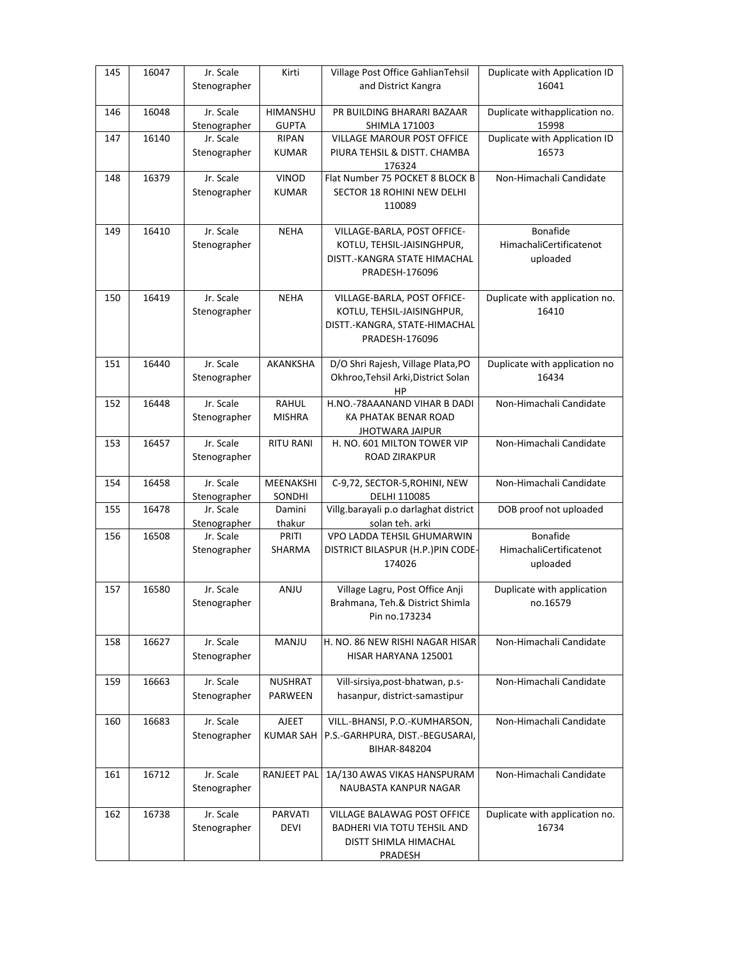| 145 | 16047 | Jr. Scale                 | Kirti            | Village Post Office GahlianTehsil                     | Duplicate with Application ID  |
|-----|-------|---------------------------|------------------|-------------------------------------------------------|--------------------------------|
|     |       | Stenographer              |                  | and District Kangra                                   | 16041                          |
| 146 | 16048 | Jr. Scale                 | HIMANSHU         | PR BUILDING BHARARI BAZAAR                            | Duplicate withapplication no.  |
|     |       | Stenographer              | <b>GUPTA</b>     | SHIMLA 171003                                         | 15998                          |
| 147 | 16140 | Jr. Scale                 | RIPAN            | <b>VILLAGE MAROUR POST OFFICE</b>                     | Duplicate with Application ID  |
|     |       | Stenographer              | <b>KUMAR</b>     | PIURA TEHSIL & DISTT. CHAMBA                          | 16573                          |
|     |       |                           |                  | 176324                                                |                                |
| 148 | 16379 | Jr. Scale                 | <b>VINOD</b>     | Flat Number 75 POCKET 8 BLOCK B                       | Non-Himachali Candidate        |
|     |       | Stenographer              | <b>KUMAR</b>     | SECTOR 18 ROHINI NEW DELHI<br>110089                  |                                |
|     |       |                           |                  |                                                       |                                |
| 149 | 16410 | Jr. Scale                 | <b>NEHA</b>      | VILLAGE-BARLA, POST OFFICE-                           | <b>Bonafide</b>                |
|     |       | Stenographer              |                  | KOTLU, TEHSIL-JAISINGHPUR,                            | HimachaliCertificatenot        |
|     |       |                           |                  | DISTT.-KANGRA STATE HIMACHAL                          | uploaded                       |
|     |       |                           |                  | PRADESH-176096                                        |                                |
|     |       |                           |                  |                                                       |                                |
| 150 | 16419 | Jr. Scale                 | <b>NEHA</b>      | VILLAGE-BARLA, POST OFFICE-                           | Duplicate with application no. |
|     |       | Stenographer              |                  | KOTLU, TEHSIL-JAISINGHPUR,                            | 16410                          |
|     |       |                           |                  | DISTT.-KANGRA, STATE-HIMACHAL<br>PRADESH-176096       |                                |
|     |       |                           |                  |                                                       |                                |
| 151 | 16440 | Jr. Scale                 | AKANKSHA         | D/O Shri Rajesh, Village Plata, PO                    | Duplicate with application no  |
|     |       | Stenographer              |                  | Okhroo, Tehsil Arki, District Solan                   | 16434                          |
|     |       |                           |                  | HР                                                    |                                |
| 152 | 16448 | Jr. Scale                 | RAHUL            | H.NO.-78AAANAND VIHAR B DADI                          | Non-Himachali Candidate        |
|     |       | Stenographer              | <b>MISHRA</b>    | KA PHATAK BENAR ROAD                                  |                                |
| 153 | 16457 | Jr. Scale                 | <b>RITU RANI</b> | <b>JHOTWARA JAIPUR</b><br>H. NO. 601 MILTON TOWER VIP | Non-Himachali Candidate        |
|     |       | Stenographer              |                  | <b>ROAD ZIRAKPUR</b>                                  |                                |
|     |       |                           |                  |                                                       |                                |
| 154 | 16458 | Jr. Scale                 | MEENAKSHI        | C-9,72, SECTOR-5, ROHINI, NEW                         | Non-Himachali Candidate        |
|     |       | Stenographer              | SONDHI           | DELHI 110085                                          |                                |
| 155 | 16478 | Jr. Scale                 | Damini           | Villg.barayali p.o darlaghat district                 | DOB proof not uploaded         |
|     |       | Stenographer              | thakur<br>PRITI  | solan teh. arki<br>VPO LADDA TEHSIL GHUMARWIN         | Bonafide                       |
| 156 | 16508 | Jr. Scale<br>Stenographer | SHARMA           | DISTRICT BILASPUR (H.P.)PIN CODE-                     | HimachaliCertificatenot        |
|     |       |                           |                  | 174026                                                | uploaded                       |
|     |       |                           |                  |                                                       |                                |
| 157 | 16580 | Jr. Scale                 | ANJU             | Village Lagru, Post Office Anji                       | Duplicate with application     |
|     |       | Stenographer              |                  | Brahmana, Teh.& District Shimla                       | no.16579                       |
|     |       |                           |                  | Pin no.173234                                         |                                |
| 158 | 16627 | Jr. Scale                 | MANJU            | H. NO. 86 NEW RISHI NAGAR HISAR                       | Non-Himachali Candidate        |
|     |       | Stenographer              |                  | HISAR HARYANA 125001                                  |                                |
|     |       |                           |                  |                                                       |                                |
| 159 | 16663 | Jr. Scale                 | NUSHRAT          | Vill-sirsiya, post-bhatwan, p.s-                      | Non-Himachali Candidate        |
|     |       | Stenographer              | PARWEEN          | hasanpur, district-samastipur                         |                                |
|     |       |                           |                  |                                                       |                                |
| 160 | 16683 | Jr. Scale                 | <b>AJEET</b>     | VILL.-BHANSI, P.O.-KUMHARSON,                         | Non-Himachali Candidate        |
|     |       | Stenographer              | <b>KUMAR SAH</b> | P.S.-GARHPURA, DIST.-BEGUSARAI,                       |                                |
|     |       |                           |                  | BIHAR-848204                                          |                                |
| 161 | 16712 | Jr. Scale                 | RANJEET PAL      | 1A/130 AWAS VIKAS HANSPURAM                           | Non-Himachali Candidate        |
|     |       | Stenographer              |                  | NAUBASTA KANPUR NAGAR                                 |                                |
|     |       |                           |                  |                                                       |                                |
| 162 | 16738 | Jr. Scale                 | PARVATI          | VILLAGE BALAWAG POST OFFICE                           | Duplicate with application no. |
|     |       | Stenographer              | DEVI             | BADHERI VIA TOTU TEHSIL AND                           | 16734                          |
|     |       |                           |                  | DISTT SHIMLA HIMACHAL                                 |                                |
|     |       |                           |                  | <b>PRADESH</b>                                        |                                |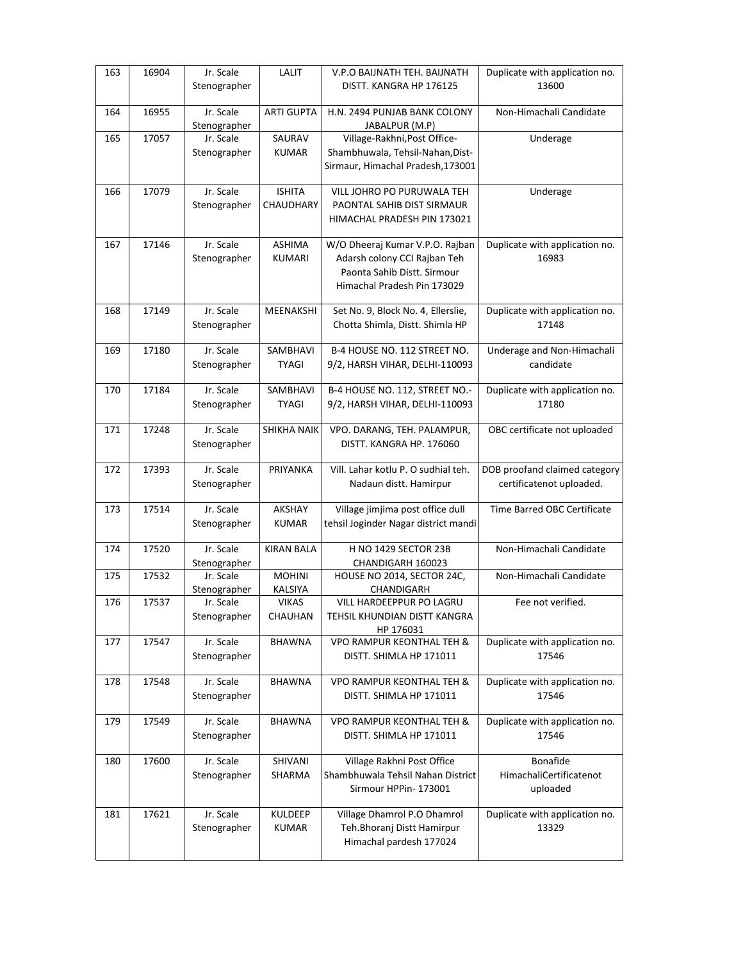| 163 | 16904 | Jr. Scale<br>Stenographer | LALIT                          | V.P.O BAIJNATH TEH. BAIJNATH<br>DISTT. KANGRA HP 176125 | Duplicate with application no.<br>13600 |
|-----|-------|---------------------------|--------------------------------|---------------------------------------------------------|-----------------------------------------|
|     |       |                           |                                |                                                         |                                         |
| 164 | 16955 | Jr. Scale                 | <b>ARTI GUPTA</b>              | H.N. 2494 PUNJAB BANK COLONY                            | Non-Himachali Candidate                 |
| 165 | 17057 | Stenographer<br>Jr. Scale | SAURAV                         | JABALPUR (M.P)<br>Village-Rakhni, Post Office-          | Underage                                |
|     |       | Stenographer              | <b>KUMAR</b>                   | Shambhuwala, Tehsil-Nahan, Dist-                        |                                         |
|     |       |                           |                                | Sirmaur, Himachal Pradesh, 173001                       |                                         |
|     |       |                           |                                |                                                         |                                         |
| 166 | 17079 | Jr. Scale                 | <b>ISHITA</b>                  | VILL JOHRO PO PURUWALA TEH                              | Underage                                |
|     |       | Stenographer              | CHAUDHARY                      | PAONTAL SAHIB DIST SIRMAUR                              |                                         |
|     |       |                           |                                | HIMACHAL PRADESH PIN 173021                             |                                         |
|     | 17146 | Jr. Scale                 | <b>ASHIMA</b>                  |                                                         |                                         |
| 167 |       |                           |                                | W/O Dheeraj Kumar V.P.O. Rajban                         | Duplicate with application no.<br>16983 |
|     |       | Stenographer              | <b>KUMARI</b>                  | Adarsh colony CCI Rajban Teh                            |                                         |
|     |       |                           |                                | Paonta Sahib Distt. Sirmour                             |                                         |
|     |       |                           |                                | Himachal Pradesh Pin 173029                             |                                         |
| 168 | 17149 | Jr. Scale                 | MEENAKSHI                      | Set No. 9, Block No. 4, Ellerslie,                      | Duplicate with application no.          |
|     |       | Stenographer              |                                | Chotta Shimla, Distt. Shimla HP                         | 17148                                   |
|     |       |                           |                                |                                                         |                                         |
| 169 | 17180 | Jr. Scale                 | SAMBHAVI                       | B-4 HOUSE NO. 112 STREET NO.                            | Underage and Non-Himachali              |
|     |       | Stenographer              | <b>TYAGI</b>                   | 9/2, HARSH VIHAR, DELHI-110093                          | candidate                               |
|     |       |                           |                                |                                                         |                                         |
| 170 | 17184 | Jr. Scale                 | SAMBHAVI                       | B-4 HOUSE NO. 112, STREET NO.-                          | Duplicate with application no.          |
|     |       | Stenographer              | <b>TYAGI</b>                   | 9/2, HARSH VIHAR, DELHI-110093                          | 17180                                   |
| 171 | 17248 | Jr. Scale                 | SHIKHA NAIK                    | VPO. DARANG, TEH. PALAMPUR,                             | OBC certificate not uploaded            |
|     |       | Stenographer              |                                | DISTT. KANGRA HP. 176060                                |                                         |
|     |       |                           |                                |                                                         |                                         |
|     | 17393 |                           |                                | Vill. Lahar kotlu P. O sudhial teh.                     |                                         |
| 172 |       | Jr. Scale                 | PRIYANKA                       |                                                         | DOB proofand claimed category           |
|     |       | Stenographer              |                                | Nadaun distt. Hamirpur                                  | certificatenot uploaded.                |
|     |       |                           |                                |                                                         |                                         |
| 173 | 17514 | Jr. Scale                 | AKSHAY                         | Village jimjima post office dull                        | Time Barred OBC Certificate             |
|     |       | Stenographer              | <b>KUMAR</b>                   | tehsil Joginder Nagar district mandi                    |                                         |
|     | 17520 |                           |                                |                                                         |                                         |
| 174 |       | Jr. Scale                 | <b>KIRAN BALA</b>              | H NO 1429 SECTOR 23B                                    | Non-Himachali Candidate                 |
| 175 | 17532 | Stenographer<br>Jr. Scale | <b>MOHINI</b>                  | CHANDIGARH 160023<br>HOUSE NO 2014, SECTOR 24C,         | Non-Himachali Candidate                 |
|     |       | Stenographer              |                                | CHANDIGARH                                              |                                         |
| 176 | 17537 | Jr. Scale                 | <b>KALSIYA</b><br><b>VIKAS</b> | VILL HARDEEPPUR PO LAGRU                                | Fee not verified.                       |
|     |       | Stenographer              | CHAUHAN                        | TEHSIL KHUNDIAN DISTT KANGRA                            |                                         |
|     |       |                           |                                | HP 176031                                               |                                         |
| 177 | 17547 | Jr. Scale                 | <b>BHAWNA</b>                  | <b>VPO RAMPUR KEONTHAL TEH &amp;</b>                    | Duplicate with application no.          |
|     |       | Stenographer              |                                | DISTT. SHIMLA HP 171011                                 | 17546                                   |
|     |       |                           |                                |                                                         |                                         |
| 178 | 17548 | Jr. Scale                 | <b>BHAWNA</b>                  | <b>VPO RAMPUR KEONTHAL TEH &amp;</b>                    | Duplicate with application no.          |
|     |       | Stenographer              |                                | DISTT. SHIMLA HP 171011                                 | 17546                                   |
| 179 | 17549 | Jr. Scale                 | <b>BHAWNA</b>                  | <b>VPO RAMPUR KEONTHAL TEH &amp;</b>                    |                                         |
|     |       |                           |                                | DISTT. SHIMLA HP 171011                                 | Duplicate with application no.<br>17546 |
|     |       | Stenographer              |                                |                                                         |                                         |
| 180 | 17600 | Jr. Scale                 | SHIVANI                        | Village Rakhni Post Office                              | Bonafide                                |
|     |       | Stenographer              | SHARMA                         | Shambhuwala Tehsil Nahan District                       | HimachaliCertificatenot                 |
|     |       |                           |                                | Sirmour HPPin- 173001                                   | uploaded                                |
|     |       |                           |                                |                                                         |                                         |
| 181 | 17621 | Jr. Scale                 | KULDEEP                        | Village Dhamrol P.O Dhamrol                             | Duplicate with application no.          |
|     |       | Stenographer              | KUMAR                          | Teh.Bhoranj Distt Hamirpur                              | 13329                                   |
|     |       |                           |                                | Himachal pardesh 177024                                 |                                         |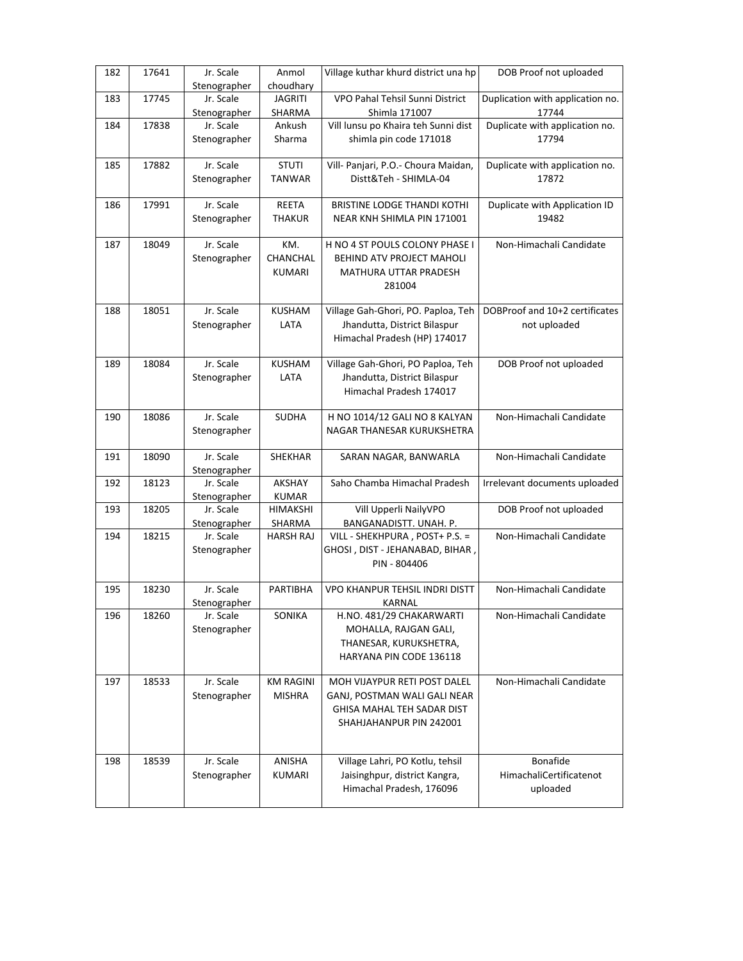| 182 | 17641 | Jr. Scale                 | Anmol<br>choudhary                | Village kuthar khurd district una hp                                                                                  | DOB Proof not uploaded                          |
|-----|-------|---------------------------|-----------------------------------|-----------------------------------------------------------------------------------------------------------------------|-------------------------------------------------|
| 183 | 17745 | Stenographer<br>Jr. Scale | <b>JAGRITI</b>                    | VPO Pahal Tehsil Sunni District                                                                                       | Duplication with application no.                |
|     |       | Stenographer              | SHARMA                            | Shimla 171007                                                                                                         | 17744                                           |
| 184 | 17838 | Jr. Scale<br>Stenographer | Ankush<br>Sharma                  | Vill lunsu po Khaira teh Sunni dist<br>shimla pin code 171018                                                         | Duplicate with application no.<br>17794         |
| 185 | 17882 | Jr. Scale<br>Stenographer | <b>STUTI</b><br><b>TANWAR</b>     | Vill- Panjari, P.O.- Choura Maidan,<br>Distt&Teh - SHIMLA-04                                                          | Duplicate with application no.<br>17872         |
| 186 | 17991 | Jr. Scale<br>Stenographer | REETA<br><b>THAKUR</b>            | <b>BRISTINE LODGE THANDI KOTHI</b><br>NEAR KNH SHIMLA PIN 171001                                                      | Duplicate with Application ID<br>19482          |
| 187 | 18049 | Jr. Scale<br>Stenographer | KM.<br>CHANCHAL<br>KUMARI         | H NO 4 ST POULS COLONY PHASE I<br>BEHIND ATV PROJECT MAHOLI<br>MATHURA UTTAR PRADESH<br>281004                        | Non-Himachali Candidate                         |
| 188 | 18051 | Jr. Scale<br>Stenographer | <b>KUSHAM</b><br>LATA             | Village Gah-Ghori, PO. Paploa, Teh<br>Jhandutta, District Bilaspur<br>Himachal Pradesh (HP) 174017                    | DOBProof and 10+2 certificates<br>not uploaded  |
| 189 | 18084 | Jr. Scale<br>Stenographer | KUSHAM<br>LATA                    | Village Gah-Ghori, PO Paploa, Teh<br>Jhandutta, District Bilaspur<br>Himachal Pradesh 174017                          | DOB Proof not uploaded                          |
| 190 | 18086 | Jr. Scale<br>Stenographer | <b>SUDHA</b>                      | H NO 1014/12 GALI NO 8 KALYAN<br>NAGAR THANESAR KURUKSHETRA                                                           | Non-Himachali Candidate                         |
| 191 | 18090 | Jr. Scale<br>Stenographer | SHEKHAR                           | SARAN NAGAR, BANWARLA                                                                                                 | Non-Himachali Candidate                         |
| 192 | 18123 | Jr. Scale<br>Stenographer | AKSHAY<br><b>KUMAR</b>            | Saho Chamba Himachal Pradesh                                                                                          | Irrelevant documents uploaded                   |
| 193 | 18205 | Jr. Scale<br>Stenographer | <b>HIMAKSHI</b><br>SHARMA         | Vill Upperli NailyVPO<br>BANGANADISTT. UNAH. P.                                                                       | DOB Proof not uploaded                          |
| 194 | 18215 | Jr. Scale<br>Stenographer | <b>HARSH RAJ</b>                  | VILL - SHEKHPURA, POST+ P.S. =<br>GHOSI , DIST - JEHANABAD, BIHAR ,<br>PIN - 804406                                   | Non-Himachali Candidate                         |
| 195 | 18230 | Jr. Scale<br>Stenographer | PARTIBHA                          | <b>VPO KHANPUR TEHSIL INDRI DISTT</b><br>KARNAL                                                                       | Non-Himachali Candidate                         |
| 196 | 18260 | Jr. Scale<br>Stenographer | SONIKA                            | H.NO. 481/29 CHAKARWARTI<br>MOHALLA, RAJGAN GALI,<br>THANESAR, KURUKSHETRA,<br>HARYANA PIN CODE 136118                | Non-Himachali Candidate                         |
| 197 | 18533 | Jr. Scale<br>Stenographer | <b>KM RAGINI</b><br><b>MISHRA</b> | MOH VIJAYPUR RETI POST DALEL<br>GANJ, POSTMAN WALI GALI NEAR<br>GHISA MAHAL TEH SADAR DIST<br>SHAHJAHANPUR PIN 242001 | Non-Himachali Candidate                         |
| 198 | 18539 | Jr. Scale<br>Stenographer | ANISHA<br>KUMARI                  | Village Lahri, PO Kotlu, tehsil<br>Jaisinghpur, district Kangra,<br>Himachal Pradesh, 176096                          | Bonafide<br>HimachaliCertificatenot<br>uploaded |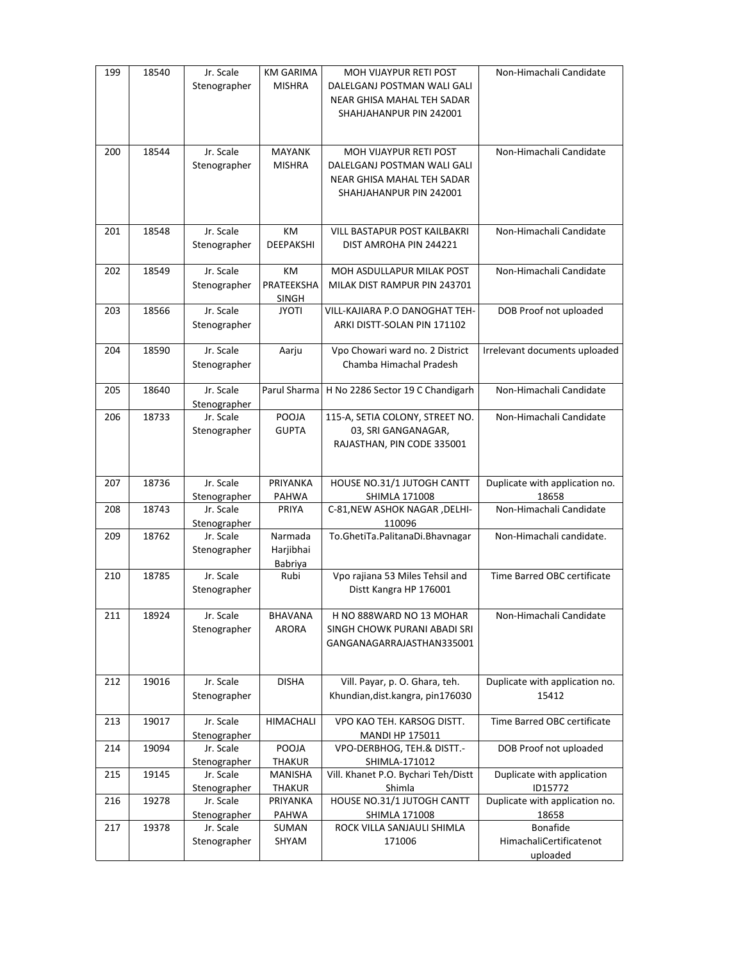| 199 | 18540 | Jr. Scale<br>Stenographer | <b>KM GARIMA</b><br>MISHRA      | MOH VIJAYPUR RETI POST<br>DALELGANJ POSTMAN WALI GALI<br>NEAR GHISA MAHAL TEH SADAR<br>SHAHJAHANPUR PIN 242001 | Non-Himachali Candidate                         |
|-----|-------|---------------------------|---------------------------------|----------------------------------------------------------------------------------------------------------------|-------------------------------------------------|
| 200 | 18544 | Jr. Scale<br>Stenographer | <b>MAYANK</b><br><b>MISHRA</b>  | MOH VIJAYPUR RETI POST<br>DALELGANJ POSTMAN WALI GALI<br>NEAR GHISA MAHAL TEH SADAR<br>SHAHJAHANPUR PIN 242001 | Non-Himachali Candidate                         |
| 201 | 18548 | Jr. Scale<br>Stenographer | KM<br>DEEPAKSHI                 | VILL BASTAPUR POST KAILBAKRI<br>DIST AMROHA PIN 244221                                                         | Non-Himachali Candidate                         |
| 202 | 18549 | Jr. Scale<br>Stenographer | KM<br>PRATEEKSHA<br>SINGH       | MOH ASDULLAPUR MILAK POST<br>MILAK DIST RAMPUR PIN 243701                                                      | Non-Himachali Candidate                         |
| 203 | 18566 | Jr. Scale<br>Stenographer | <b>JYOTI</b>                    | VILL-KAJIARA P.O DANOGHAT TEH-<br>ARKI DISTT-SOLAN PIN 171102                                                  | DOB Proof not uploaded                          |
| 204 | 18590 | Jr. Scale<br>Stenographer | Aarju                           | Vpo Chowari ward no. 2 District<br>Chamba Himachal Pradesh                                                     | Irrelevant documents uploaded                   |
| 205 | 18640 | Jr. Scale<br>Stenographer | Parul Sharma                    | H No 2286 Sector 19 C Chandigarh                                                                               | Non-Himachali Candidate                         |
| 206 | 18733 | Jr. Scale<br>Stenographer | POOJA<br><b>GUPTA</b>           | 115-A, SETIA COLONY, STREET NO.<br>03, SRI GANGANAGAR,<br>RAJASTHAN, PIN CODE 335001                           | Non-Himachali Candidate                         |
| 207 | 18736 | Jr. Scale<br>Stenographer | PRIYANKA<br>PAHWA               | HOUSE NO.31/1 JUTOGH CANTT<br><b>SHIMLA 171008</b>                                                             | Duplicate with application no.<br>18658         |
| 208 | 18743 | Jr. Scale<br>Stenographer | PRIYA                           | C-81, NEW ASHOK NAGAR , DELHI-<br>110096                                                                       | Non-Himachali Candidate                         |
| 209 | 18762 | Jr. Scale<br>Stenographer | Narmada<br>Harjibhai<br>Babriya | To.GhetiTa.PalitanaDi.Bhavnagar                                                                                | Non-Himachali candidate.                        |
| 210 | 18785 | Jr. Scale<br>Stenographer | Rubi                            | Vpo rajiana 53 Miles Tehsil and<br>Distt Kangra HP 176001                                                      | Time Barred OBC certificate                     |
| 211 | 18924 | Jr. Scale<br>Stenographer | <b>BHAVANA</b><br>ARORA         | H NO 888WARD NO 13 MOHAR<br>SINGH CHOWK PURANI ABADI SRI<br>GANGANAGARRAJASTHAN335001                          | Non-Himachali Candidate                         |
| 212 | 19016 | Jr. Scale<br>Stenographer | <b>DISHA</b>                    | Vill. Payar, p. O. Ghara, teh.<br>Khundian, dist. kangra, pin176030                                            | Duplicate with application no.<br>15412         |
| 213 | 19017 | Jr. Scale<br>Stenographer | HIMACHALI                       | VPO KAO TEH. KARSOG DISTT.<br>MANDI HP 175011                                                                  | Time Barred OBC certificate                     |
| 214 | 19094 | Jr. Scale<br>Stenographer | POOJA<br><b>THAKUR</b>          | VPO-DERBHOG, TEH.& DISTT.-<br>SHIMLA-171012                                                                    | DOB Proof not uploaded                          |
| 215 | 19145 | Jr. Scale<br>Stenographer | MANISHA<br><b>THAKUR</b>        | Vill. Khanet P.O. Bychari Teh/Distt<br>Shimla                                                                  | Duplicate with application<br>ID15772           |
| 216 | 19278 | Jr. Scale<br>Stenographer | PRIYANKA<br>PAHWA               | HOUSE NO.31/1 JUTOGH CANTT<br><b>SHIMLA 171008</b>                                                             | Duplicate with application no.<br>18658         |
| 217 | 19378 | Jr. Scale<br>Stenographer | SUMAN<br>SHYAM                  | ROCK VILLA SANJAULI SHIMLA<br>171006                                                                           | Bonafide<br>HimachaliCertificatenot<br>uploaded |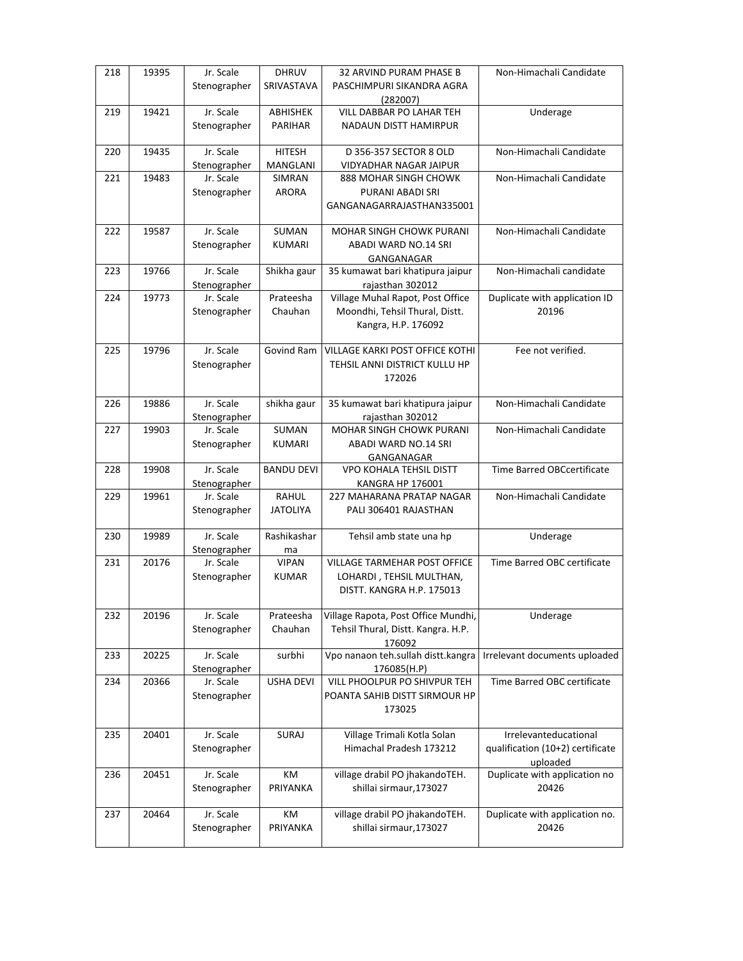| 218 | 19395 | Jr. Scale                 | <b>DHRUV</b>      | 32 ARVIND PURAM PHASE B                               | Non-Himachali Candidate           |
|-----|-------|---------------------------|-------------------|-------------------------------------------------------|-----------------------------------|
|     |       | Stenographer              | SRIVASTAVA        | PASCHIMPURI SIKANDRA AGRA                             |                                   |
|     |       |                           |                   | (282007)                                              |                                   |
| 219 | 19421 | Jr. Scale                 | ABHISHEK          | VILL DABBAR PO LAHAR TEH                              | Underage                          |
|     |       | Stenographer              | <b>PARIHAR</b>    | NADAUN DISTT HAMIRPUR                                 |                                   |
| 220 | 19435 | Jr. Scale                 | <b>HITESH</b>     | D 356-357 SECTOR 8 OLD                                | Non-Himachali Candidate           |
|     |       | Stenographer              | MANGLANI          | VIDYADHAR NAGAR JAIPUR                                |                                   |
| 221 | 19483 | Jr. Scale                 | SIMRAN            | 888 MOHAR SINGH CHOWK                                 | Non-Himachali Candidate           |
|     |       | Stenographer              | ARORA             | PURANI ABADI SRI                                      |                                   |
|     |       |                           |                   | GANGANAGARRAJASTHAN335001                             |                                   |
| 222 | 19587 | Jr. Scale                 | <b>SUMAN</b>      | <b>MOHAR SINGH CHOWK PURANI</b>                       | Non-Himachali Candidate           |
|     |       | Stenographer              | <b>KUMARI</b>     | ABADI WARD NO.14 SRI                                  |                                   |
|     |       |                           |                   | GANGANAGAR                                            |                                   |
| 223 | 19766 | Jr. Scale<br>Stenographer | Shikha gaur       | 35 kumawat bari khatipura jaipur<br>rajasthan 302012  | Non-Himachali candidate           |
| 224 | 19773 | Jr. Scale                 | Prateesha         | Village Muhal Rapot, Post Office                      | Duplicate with application ID     |
|     |       | Stenographer              | Chauhan           | Moondhi, Tehsil Thural, Distt.                        | 20196                             |
|     |       |                           |                   | Kangra, H.P. 176092                                   |                                   |
|     |       |                           |                   |                                                       |                                   |
| 225 | 19796 | Jr. Scale                 | Govind Ram        | VILLAGE KARKI POST OFFICE KOTHI                       | Fee not verified.                 |
|     |       | Stenographer              |                   | TEHSIL ANNI DISTRICT KULLU HP                         |                                   |
|     |       |                           |                   | 172026                                                |                                   |
|     |       | Jr. Scale                 |                   |                                                       | Non-Himachali Candidate           |
| 226 | 19886 | Stenographer              | shikha gaur       | 35 kumawat bari khatipura jaipur<br>rajasthan 302012  |                                   |
| 227 | 19903 | Jr. Scale                 | SUMAN             | <b>MOHAR SINGH CHOWK PURANI</b>                       | Non-Himachali Candidate           |
|     |       | Stenographer              | <b>KUMARI</b>     | ABADI WARD NO.14 SRI                                  |                                   |
|     |       |                           |                   | GANGANAGAR                                            |                                   |
| 228 | 19908 | Jr. Scale                 | <b>BANDU DEVI</b> | <b>VPO KOHALA TEHSIL DISTT</b>                        | <b>Time Barred OBCcertificate</b> |
|     |       | Stenographer              |                   | <b>KANGRA HP 176001</b>                               |                                   |
| 229 | 19961 | Jr. Scale                 | <b>RAHUL</b>      | 227 MAHARANA PRATAP NAGAR                             | Non-Himachali Candidate           |
|     |       | Stenographer              | JATOLIYA          | PALI 306401 RAJASTHAN                                 |                                   |
|     |       |                           |                   |                                                       |                                   |
| 230 | 19989 | Jr. Scale                 | Rashikashar       | Tehsil amb state una hp                               | Underage                          |
|     |       | Stenographer              | ma                |                                                       |                                   |
| 231 | 20176 | Jr. Scale                 | <b>VIPAN</b>      | VILLAGE TARMEHAR POST OFFICE                          | Time Barred OBC certificate       |
|     |       | Stenographer              | <b>KUMAR</b>      | LOHARDI, TEHSIL MULTHAN,<br>DISTT. KANGRA H.P. 175013 |                                   |
|     |       |                           |                   |                                                       |                                   |
| 232 | 20196 | Jr. Scale                 | Prateesha         | Village Rapota, Post Office Mundhi,                   | Underage                          |
|     |       | Stenographer              | Chauhan           | Tehsil Thural, Distt. Kangra. H.P.                    |                                   |
|     |       |                           |                   | 176092                                                |                                   |
| 233 | 20225 | Jr. Scale                 | surbhi            | Vpo nanaon teh.sullah distt.kangra                    | Irrelevant documents uploaded     |
|     |       | Stenographer              |                   | 176085(H.P)                                           |                                   |
| 234 | 20366 | Jr. Scale                 | <b>USHA DEVI</b>  | VILL PHOOLPUR PO SHIVPUR TEH                          | Time Barred OBC certificate       |
|     |       | Stenographer              |                   | POANTA SAHIB DISTT SIRMOUR HP                         |                                   |
|     |       |                           |                   | 173025                                                |                                   |
| 235 | 20401 | Jr. Scale                 | SURAJ             | Village Trimali Kotla Solan                           | Irrelevanteducational             |
|     |       | Stenographer              |                   | Himachal Pradesh 173212                               | qualification (10+2) certificate  |
|     |       |                           |                   |                                                       | uploaded                          |
| 236 | 20451 | Jr. Scale                 | KM                | village drabil PO jhakandoTEH.                        | Duplicate with application no     |
|     |       | Stenographer              | PRIYANKA          | shillai sirmaur, 173027                               | 20426                             |
|     |       |                           |                   |                                                       |                                   |
| 237 | 20464 | Jr. Scale                 | КM                | village drabil PO jhakandoTEH.                        | Duplicate with application no.    |
|     |       | Stenographer              | PRIYANKA          | shillai sirmaur, 173027                               | 20426                             |
|     |       |                           |                   |                                                       |                                   |